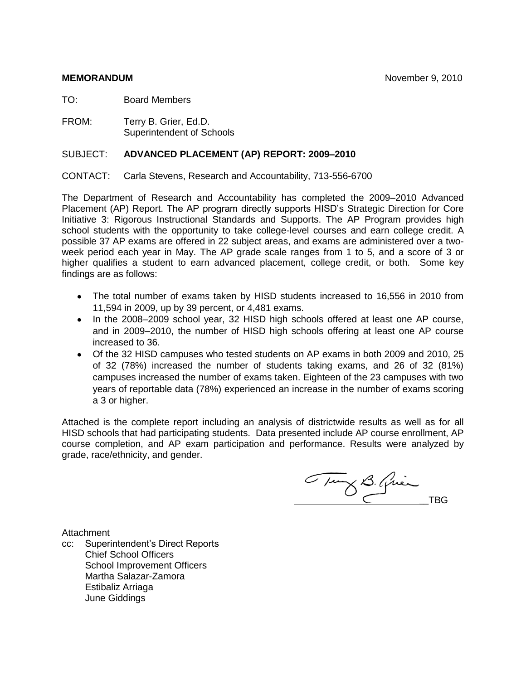TO: Board Members

FROM: Terry B. Grier, Ed.D. Superintendent of Schools

# SUBJECT: **ADVANCED PLACEMENT (AP) REPORT: 2009–2010**

CONTACT: Carla Stevens, Research and Accountability, 713-556-6700

The Department of Research and Accountability has completed the 2009–2010 Advanced Placement (AP) Report. The AP program directly supports HISD's Strategic Direction for Core Initiative 3: Rigorous Instructional Standards and Supports. The AP Program provides high school students with the opportunity to take college-level courses and earn college credit. A possible 37 AP exams are offered in 22 subject areas, and exams are administered over a twoweek period each year in May. The AP grade scale ranges from 1 to 5, and a score of 3 or higher qualifies a student to earn advanced placement, college credit, or both. Some key findings are as follows:

- The total number of exams taken by HISD students increased to 16,556 in 2010 from 11,594 in 2009, up by 39 percent, or 4,481 exams.
- In the 2008–2009 school year, 32 HISD high schools offered at least one AP course, and in 2009–2010, the number of HISD high schools offering at least one AP course increased to 36.
- Of the 32 HISD campuses who tested students on AP exams in both 2009 and 2010, 25 of 32 (78%) increased the number of students taking exams, and 26 of 32 (81%) campuses increased the number of exams taken. Eighteen of the 23 campuses with two years of reportable data (78%) experienced an increase in the number of exams scoring a 3 or higher.

Attached is the complete report including an analysis of districtwide results as well as for all HISD schools that had participating students. Data presented include AP course enrollment, AP course completion, and AP exam participation and performance. Results were analyzed by grade, race/ethnicity, and gender.

Tung B. Guin

Attachment

cc: Superintendent's Direct Reports Chief School Officers School Improvement Officers Martha Salazar-Zamora Estibaliz Arriaga June Giddings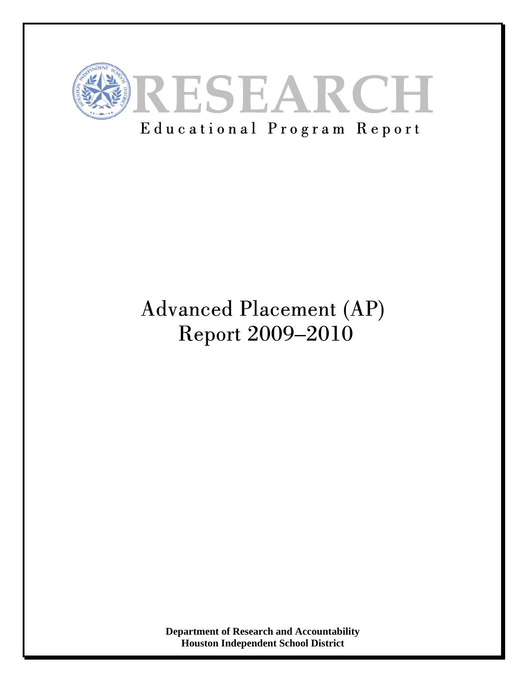

# Educational Program Report

# Advanced Placement (AP) Report 2009–2010

**Department of Research and Accountability Houston Independent School District**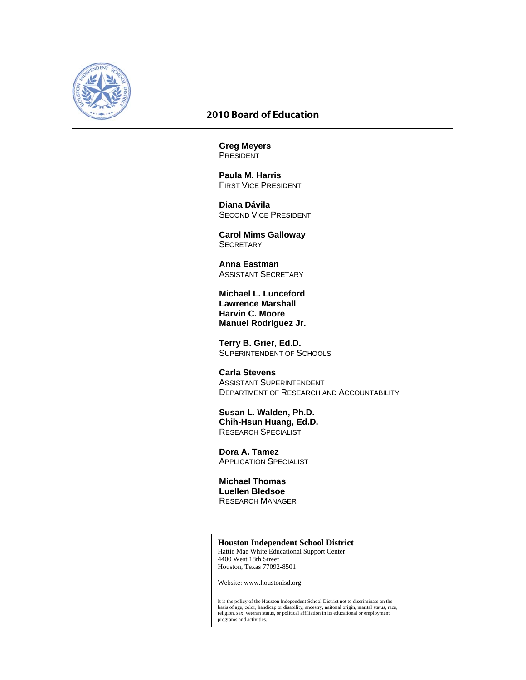

# **2010 Board of Education**

**Greg Meyers PRESIDENT** 

 **Paula M. Harris**  FIRST VICE PRESIDENT

 **Diana Dávila**  SECOND VICE PRESIDENT

 **Carol Mims Galloway SECRETARY** 

 **Anna Eastman**  ASSISTANT SECRETARY

**Michael L. Lunceford Lawrence Marshall Harvin C. Moore Manuel Rodríguez Jr.** 

 **Terry B. Grier, Ed.D.**  SUPERINTENDENT OF SCHOOLS

 **Carla Stevens**  ASSISTANT SUPERINTENDENT DEPARTMENT OF RESEARCH AND ACCOUNTABILITY

 **Susan L. Walden, Ph.D. Chih-Hsun Huang, Ed.D.**  RESEARCH SPECIALIST

 **Dora A. Tamez**  APPLICATION SPECIALIST

 **Michael Thomas Luellen Bledsoe**  RESEARCH MANAGER

# **Houston Independent School District**

Hattie Mae White Educational Support Center 4400 West 18th Street Houston, Texas 77092-8501

Website: www.houstonisd.org

It is the policy of the Houston Independent School District not to discriminate on the<br>basis of age, color, handicap or disability, ancestry, naitonal origin, marital status, race,<br>religion, sex, veteran status, or politic programs and activities.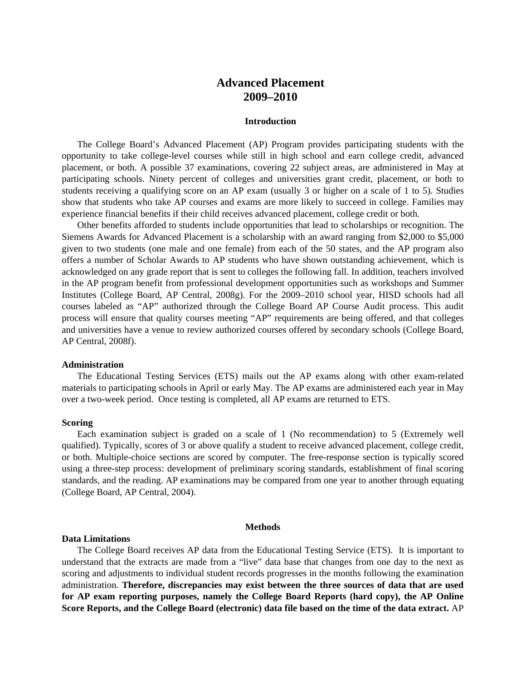# **Advanced Placement 2009–2010**

# **Introduction**

The College Board's Advanced Placement (AP) Program provides participating students with the opportunity to take college-level courses while still in high school and earn college credit, advanced placement, or both. A possible 37 examinations, covering 22 subject areas, are administered in May at participating schools. Ninety percent of colleges and universities grant credit, placement, or both to students receiving a qualifying score on an AP exam (usually 3 or higher on a scale of 1 to 5). Studies show that students who take AP courses and exams are more likely to succeed in college. Families may experience financial benefits if their child receives advanced placement, college credit or both.

Other benefits afforded to students include opportunities that lead to scholarships or recognition. The Siemens Awards for Advanced Placement is a scholarship with an award ranging from \$2,000 to \$5,000 given to two students (one male and one female) from each of the 50 states, and the AP program also offers a number of Scholar Awards to AP students who have shown outstanding achievement, which is acknowledged on any grade report that is sent to colleges the following fall. In addition, teachers involved in the AP program benefit from professional development opportunities such as workshops and Summer Institutes (College Board, AP Central, 2008g). For the 2009–2010 school year, HISD schools had all courses labeled as "AP" authorized through the College Board AP Course Audit process. This audit process will ensure that quality courses meeting "AP" requirements are being offered, and that colleges and universities have a venue to review authorized courses offered by secondary schools (College Board, AP Central, 2008f).

# **Administration**

The Educational Testing Services (ETS) mails out the AP exams along with other exam-related materials to participating schools in April or early May. The AP exams are administered each year in May over a two-week period. Once testing is completed, all AP exams are returned to ETS.

# **Scoring**

Each examination subject is graded on a scale of 1 (No recommendation) to 5 (Extremely well qualified). Typically, scores of 3 or above qualify a student to receive advanced placement, college credit, or both. Multiple-choice sections are scored by computer. The free-response section is typically scored using a three-step process: development of preliminary scoring standards, establishment of final scoring standards, and the reading. AP examinations may be compared from one year to another through equating (College Board, AP Central, 2004).

# **Methods**

# **Data Limitations**

The College Board receives AP data from the Educational Testing Service (ETS). It is important to understand that the extracts are made from a "live" data base that changes from one day to the next as scoring and adjustments to individual student records progresses in the months following the examination administration. **Therefore, discrepancies may exist between the three sources of data that are used for AP exam reporting purposes, namely the College Board Reports (hard copy), the AP Online Score Reports, and the College Board (electronic) data file based on the time of the data extract.** AP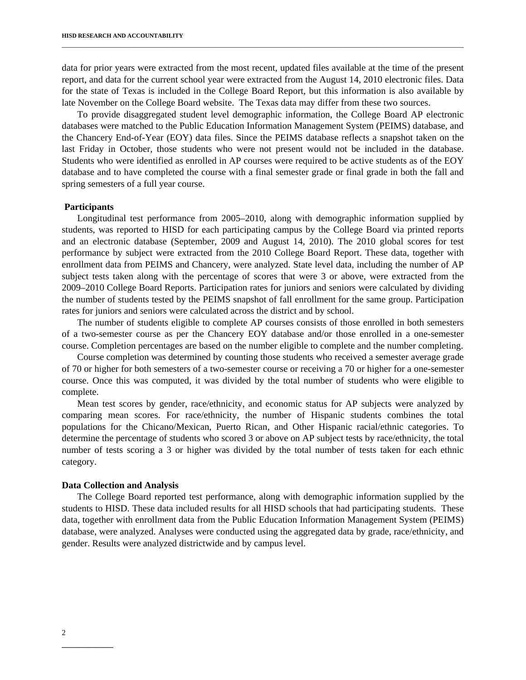data for prior years were extracted from the most recent, updated files available at the time of the present report, and data for the current school year were extracted from the August 14, 2010 electronic files. Data for the state of Texas is included in the College Board Report, but this information is also available by late November on the College Board website. The Texas data may differ from these two sources.

\_\_\_\_\_\_\_\_\_\_\_\_\_\_\_\_\_\_\_\_\_\_\_\_\_\_\_\_\_\_\_\_\_\_\_\_\_\_\_\_\_\_\_\_\_\_\_\_\_\_\_\_\_\_\_\_\_\_\_\_\_\_\_\_\_\_\_\_\_\_\_\_\_\_\_\_\_\_\_\_\_\_\_\_\_\_\_\_\_\_\_\_\_\_\_\_\_\_\_\_\_\_\_\_

To provide disaggregated student level demographic information, the College Board AP electronic databases were matched to the Public Education Information Management System (PEIMS) database, and the Chancery End-of-Year (EOY) data files. Since the PEIMS database reflects a snapshot taken on the last Friday in October, those students who were not present would not be included in the database. Students who were identified as enrolled in AP courses were required to be active students as of the EOY database and to have completed the course with a final semester grade or final grade in both the fall and spring semesters of a full year course.

# **Participants**

Longitudinal test performance from 2005–2010, along with demographic information supplied by students, was reported to HISD for each participating campus by the College Board via printed reports and an electronic database (September, 2009 and August 14, 2010). The 2010 global scores for test performance by subject were extracted from the 2010 College Board Report. These data, together with enrollment data from PEIMS and Chancery, were analyzed. State level data, including the number of AP subject tests taken along with the percentage of scores that were 3 or above, were extracted from the 2009–2010 College Board Reports. Participation rates for juniors and seniors were calculated by dividing the number of students tested by the PEIMS snapshot of fall enrollment for the same group. Participation rates for juniors and seniors were calculated across the district and by school.

The number of students eligible to complete AP courses consists of those enrolled in both semesters of a two-semester course as per the Chancery EOY database and/or those enrolled in a one-semester course. Completion percentages are based on the number eligible to complete and the number completing.

Course completion was determined by counting those students who received a semester average grade of 70 or higher for both semesters of a two-semester course or receiving a 70 or higher for a one-semester course. Once this was computed, it was divided by the total number of students who were eligible to complete.

Mean test scores by gender, race/ethnicity, and economic status for AP subjects were analyzed by comparing mean scores. For race/ethnicity, the number of Hispanic students combines the total populations for the Chicano/Mexican, Puerto Rican, and Other Hispanic racial/ethnic categories. To determine the percentage of students who scored 3 or above on AP subject tests by race/ethnicity, the total number of tests scoring a 3 or higher was divided by the total number of tests taken for each ethnic category.

# **Data Collection and Analysis**

The College Board reported test performance, along with demographic information supplied by the students to HISD. These data included results for all HISD schools that had participating students. These data, together with enrollment data from the Public Education Information Management System (PEIMS) database, were analyzed. Analyses were conducted using the aggregated data by grade, race/ethnicity, and gender. Results were analyzed districtwide and by campus level.

 $\overline{\phantom{a}}$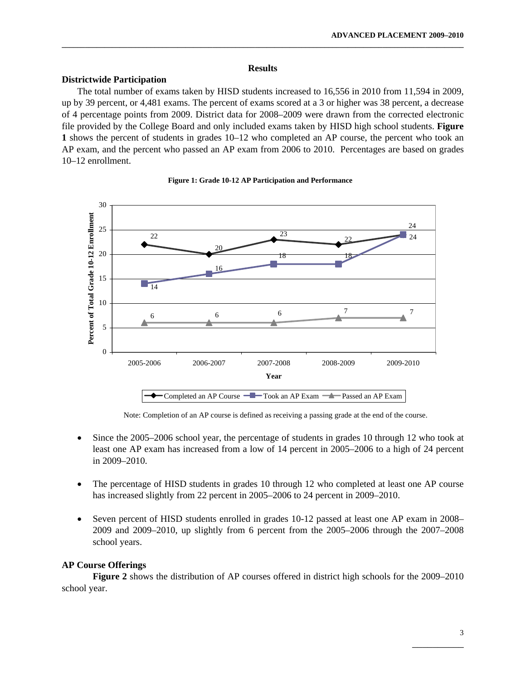# **Results**

**\_\_\_\_\_\_\_\_\_\_\_\_\_\_\_\_\_\_\_\_\_\_\_\_\_\_\_\_\_\_\_\_\_\_\_\_\_\_\_\_\_\_\_\_\_\_\_\_\_\_\_\_\_\_\_\_\_\_\_\_\_\_\_\_\_\_\_\_\_\_\_\_\_\_\_\_\_\_\_\_\_\_\_\_\_\_\_\_\_\_\_\_\_\_\_\_\_\_\_\_\_\_\_\_** 

# **Districtwide Participation**

The total number of exams taken by HISD students increased to 16,556 in 2010 from 11,594 in 2009, up by 39 percent, or 4,481 exams. The percent of exams scored at a 3 or higher was 38 percent, a decrease of 4 percentage points from 2009. District data for 2008–2009 were drawn from the corrected electronic file provided by the College Board and only included exams taken by HISD high school students. **Figure 1** shows the percent of students in grades 10–12 who completed an AP course, the percent who took an AP exam, and the percent who passed an AP exam from 2006 to 2010. Percentages are based on grades 10–12 enrollment.





Note: Completion of an AP course is defined as receiving a passing grade at the end of the course.

- Since the 2005–2006 school year, the percentage of students in grades 10 through 12 who took at least one AP exam has increased from a low of 14 percent in 2005–2006 to a high of 24 percent in 2009–2010.
- The percentage of HISD students in grades 10 through 12 who completed at least one AP course has increased slightly from 22 percent in 2005–2006 to 24 percent in 2009–2010.
- Seven percent of HISD students enrolled in grades 10-12 passed at least one AP exam in 2008– 2009 and 2009–2010, up slightly from 6 percent from the 2005–2006 through the 2007–2008 school years.

# **AP Course Offerings**

 **Figure 2** shows the distribution of AP courses offered in district high schools for the 2009–2010 school year.

 $\mathcal{L}_\mathcal{L}$  , which is a set of the set of the set of the set of the set of the set of the set of the set of the set of the set of the set of the set of the set of the set of the set of the set of the set of the set of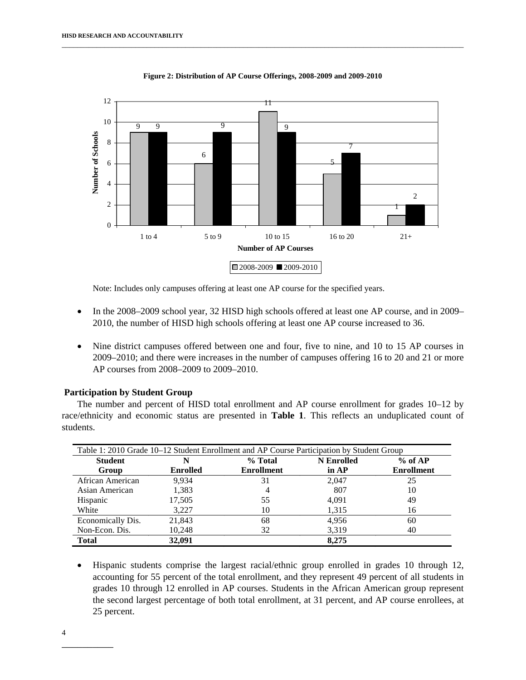

**Figure 2: Distribution of AP Course Offerings, 2008-2009 and 2009-2010**

Note: Includes only campuses offering at least one AP course for the specified years.

- In the 2008–2009 school year, 32 HISD high schools offered at least one AP course, and in 2009– 2010, the number of HISD high schools offering at least one AP course increased to 36.
- Nine district campuses offered between one and four, five to nine, and 10 to 15 AP courses in 2009–2010; and there were increases in the number of campuses offering 16 to 20 and 21 or more AP courses from 2008–2009 to 2009–2010.

# **Participation by Student Group**

s<sup>t</sup> Table 1: 2010 Grade 10–12 Student Enrollment and AP Course Participation by Student Group **Student Group N Enrolled % Total Enrollment N Enrolled in AP % of AP Enrollment**  African American 9,934 31 2,047 25 Asian American 1,383 4 807 10 Hispanic 17,505 55 4,091 49

White 3,227 10 1,315 16 Economically Dis. 21,843 68 4,956 60 Non-Econ. Dis. 10,248 32 3,319 40

**Total 32,091 8,275** 

|                                                                                                             |  |  |  |  |  | The number and percent of HISD total enrollment and AP course enrollment for grades 10–12 by |  |
|-------------------------------------------------------------------------------------------------------------|--|--|--|--|--|----------------------------------------------------------------------------------------------|--|
| race/ethnicity and economic status are presented in <b>Table 1</b> . This reflects an unduplicated count of |  |  |  |  |  |                                                                                              |  |
| students.                                                                                                   |  |  |  |  |  |                                                                                              |  |

| • Hispanic students comprise the largest racial/ethnic group enrolled in grades 10 through 12,      |
|-----------------------------------------------------------------------------------------------------|
| accounting for 55 percent of the total enrollment, and they represent 49 percent of all students in |
| grades 10 through 12 enrolled in AP courses. Students in the African American group represent       |
| the second largest percentage of both total enrollment, at 31 percent, and AP course enrollees, at  |
| 25 percent.                                                                                         |

 $\overline{\phantom{a}}$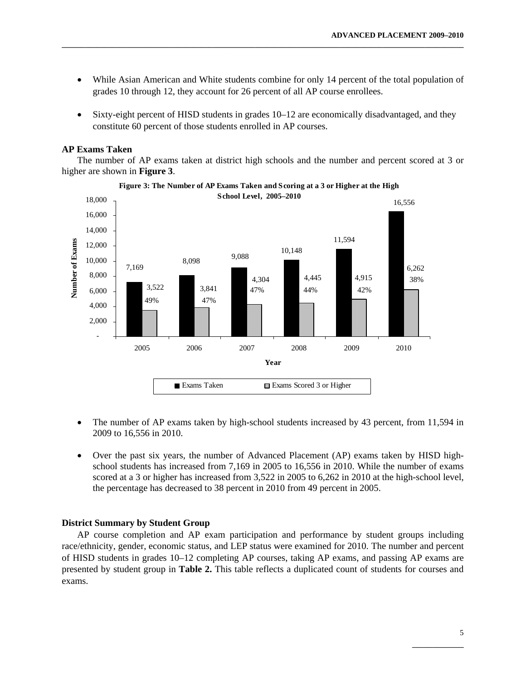• While Asian American and White students combine for only 14 percent of the total population of grades 10 through 12, they account for 26 percent of all AP course enrollees.

**\_\_\_\_\_\_\_\_\_\_\_\_\_\_\_\_\_\_\_\_\_\_\_\_\_\_\_\_\_\_\_\_\_\_\_\_\_\_\_\_\_\_\_\_\_\_\_\_\_\_\_\_\_\_\_\_\_\_\_\_\_\_\_\_\_\_\_\_\_\_\_\_\_\_\_\_\_\_\_\_\_\_\_\_\_\_\_\_\_\_\_\_\_\_\_\_\_\_\_\_\_\_\_\_** 

• Sixty-eight percent of HISD students in grades 10–12 are economically disadvantaged, and they constitute 60 percent of those students enrolled in AP courses.

# **AP Exams Taken**

The number of AP exams taken at district high schools and the number and percent scored at 3 or higher are shown in **Figure 3**.





- The number of AP exams taken by high-school students increased by 43 percent, from 11,594 in 2009 to 16,556 in 2010.
- Over the past six years, the number of Advanced Placement (AP) exams taken by HISD highschool students has increased from 7,169 in 2005 to 16,556 in 2010. While the number of exams scored at a 3 or higher has increased from 3,522 in 2005 to 6,262 in 2010 at the high-school level, the percentage has decreased to 38 percent in 2010 from 49 percent in 2005.

# **District Summary by Student Group**

AP course completion and AP exam participation and performance by student groups including race/ethnicity, gender, economic status, and LEP status were examined for 2010. The number and percent of HISD students in grades 10–12 completing AP courses, taking AP exams, and passing AP exams are presented by student group in **Table 2.** This table reflects a duplicated count of students for courses and exams.

 $\mathcal{L}_\mathcal{L}$  , which is a set of the set of the set of the set of the set of the set of the set of the set of the set of the set of the set of the set of the set of the set of the set of the set of the set of the set of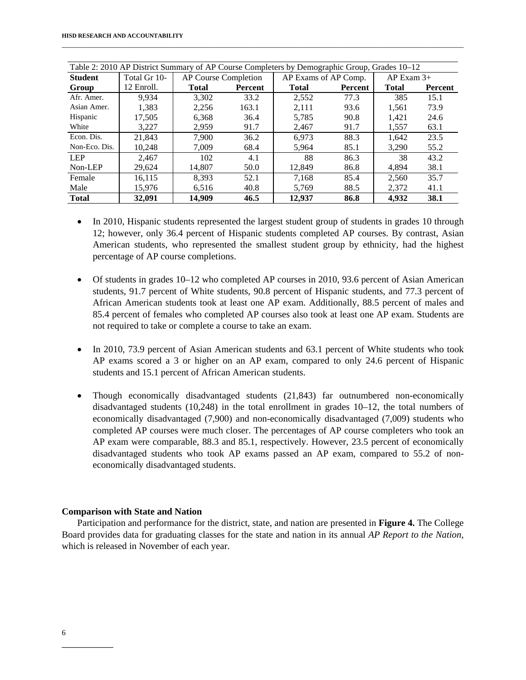|                | Table 2: 2010 AP District Summary of AP Course Completers by Demographic Group, Grades 10-12 |                      |                |                      |         |                |         |
|----------------|----------------------------------------------------------------------------------------------|----------------------|----------------|----------------------|---------|----------------|---------|
| <b>Student</b> | Total Gr 10-                                                                                 | AP Course Completion |                | AP Exams of AP Comp. |         | $AP$ Exam $3+$ |         |
| Group          | 12 Enroll.                                                                                   | <b>Total</b>         | <b>Percent</b> | Total                | Percent | <b>Total</b>   | Percent |
| Afr. Amer.     | 9.934                                                                                        | 3,302                | 33.2           | 2,552                | 77.3    | 385            | 15.1    |
| Asian Amer.    | 1.383                                                                                        | 2,256                | 163.1          | 2.111                | 93.6    | 1,561          | 73.9    |
| Hispanic       | 17,505                                                                                       | 6,368                | 36.4           | 5,785                | 90.8    | 1,421          | 24.6    |
| White          | 3,227                                                                                        | 2,959                | 91.7           | 2,467                | 91.7    | 1,557          | 63.1    |
| Econ. Dis.     | 21,843                                                                                       | 7.900                | 36.2           | 6.973                | 88.3    | 1,642          | 23.5    |
| Non-Eco. Dis.  | 10,248                                                                                       | 7.009                | 68.4           | 5.964                | 85.1    | 3,290          | 55.2    |
| <b>LEP</b>     | 2.467                                                                                        | 102                  | 4.1            | 88                   | 86.3    | 38             | 43.2    |
| Non-LEP        | 29,624                                                                                       | 14.807               | 50.0           | 12,849               | 86.8    | 4,894          | 38.1    |
| Female         | 16.115                                                                                       | 8.393                | 52.1           | 7.168                | 85.4    | 2.560          | 35.7    |
| Male           | 15,976                                                                                       | 6,516                | 40.8           | 5,769                | 88.5    | 2,372          | 41.1    |
| <b>Total</b>   | 32,091                                                                                       | 14.909               | 46.5           | 12,937               | 86.8    | 4.932          | 38.1    |

- In 2010, Hispanic students represented the largest student group of students in grades 10 through 12; however, only 36.4 percent of Hispanic students completed AP courses. By contrast, Asian American students, who represented the smallest student group by ethnicity, had the highest percentage of AP course completions.
- Of students in grades 10–12 who completed AP courses in 2010, 93.6 percent of Asian American students, 91.7 percent of White students, 90.8 percent of Hispanic students, and 77.3 percent of African American students took at least one AP exam. Additionally, 88.5 percent of males and 85.4 percent of females who completed AP courses also took at least one AP exam. Students are not required to take or complete a course to take an exam.
- In 2010, 73.9 percent of Asian American students and 63.1 percent of White students who took AP exams scored a 3 or higher on an AP exam, compared to only 24.6 percent of Hispanic students and 15.1 percent of African American students.
- Though economically disadvantaged students (21,843) far outnumbered non-economically disadvantaged students (10,248) in the total enrollment in grades 10–12, the total numbers of economically disadvantaged (7,900) and non-economically disadvantaged (7,009) students who completed AP courses were much closer. The percentages of AP course completers who took an AP exam were comparable, 88.3 and 85.1, respectively. However, 23.5 percent of economically disadvantaged students who took AP exams passed an AP exam, compared to 55.2 of noneconomically disadvantaged students.

# **Comparison with State and Nation**

Participation and performance for the district, state, and nation are presented in **Figure 4.** The College Board provides data for graduating classes for the state and nation in its annual *AP Report to the Nation*, which is released in November of each year.

 $\overline{\phantom{a}}$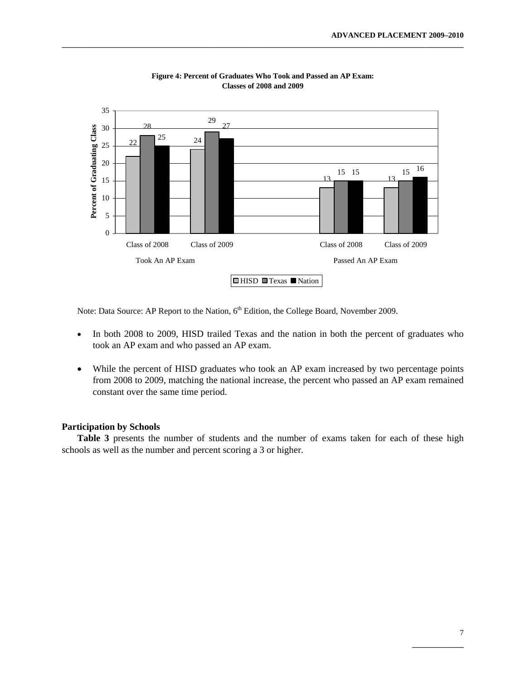

**Figure 4: Percent of Graduates Who Took and Passed an AP Exam: Classes of 2008 and 2009**

Note: Data Source: AP Report to the Nation, 6<sup>th</sup> Edition, the College Board, November 2009.

- In both 2008 to 2009, HISD trailed Texas and the nation in both the percent of graduates who took an AP exam and who passed an AP exam.
- While the percent of HISD graduates who took an AP exam increased by two percentage points from 2008 to 2009, matching the national increase, the percent who passed an AP exam remained constant over the same time period.

# **Participation by Schools**

**Table 3** presents the number of students and the number of exams taken for each of these high schools as well as the number and percent scoring a 3 or higher.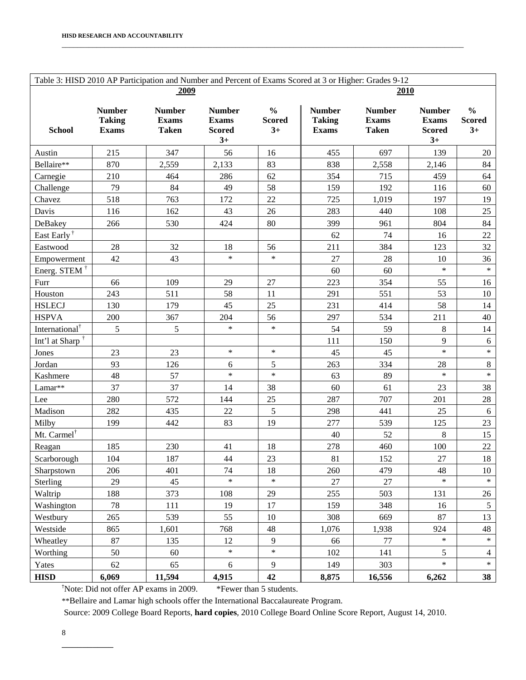| Table 3: HISD 2010 AP Participation and Number and Percent of Exams Scored at 3 or Higher: Grades 9-12 |                                                |                                               |                                                        |                                        |                                                |                                               |                                                        |                                        |
|--------------------------------------------------------------------------------------------------------|------------------------------------------------|-----------------------------------------------|--------------------------------------------------------|----------------------------------------|------------------------------------------------|-----------------------------------------------|--------------------------------------------------------|----------------------------------------|
|                                                                                                        |                                                | 2009                                          |                                                        |                                        |                                                | 2010                                          |                                                        |                                        |
| <b>School</b>                                                                                          | <b>Number</b><br><b>Taking</b><br><b>Exams</b> | <b>Number</b><br><b>Exams</b><br><b>Taken</b> | <b>Number</b><br><b>Exams</b><br><b>Scored</b><br>$3+$ | $\frac{6}{6}$<br><b>Scored</b><br>$3+$ | <b>Number</b><br><b>Taking</b><br><b>Exams</b> | <b>Number</b><br><b>Exams</b><br><b>Taken</b> | <b>Number</b><br><b>Exams</b><br><b>Scored</b><br>$3+$ | $\frac{6}{6}$<br><b>Scored</b><br>$3+$ |
| Austin                                                                                                 | 215                                            | 347                                           | 56                                                     | 16                                     | 455                                            | 697                                           | 139                                                    | 20                                     |
| Bellaire**                                                                                             | 870                                            | 2,559                                         | 2,133                                                  | 83                                     | 838                                            | 2,558                                         | 2,146                                                  | 84                                     |
| Carnegie                                                                                               | 210                                            | 464                                           | 286                                                    | 62                                     | 354                                            | 715                                           | 459                                                    | 64                                     |
| Challenge                                                                                              | 79                                             | 84                                            | 49                                                     | 58                                     | 159                                            | 192                                           | 116                                                    | 60                                     |
| Chavez                                                                                                 | 518                                            | 763                                           | 172                                                    | 22                                     | 725                                            | 1,019                                         | 197                                                    | 19                                     |
| Davis                                                                                                  | 116                                            | 162                                           | 43                                                     | 26                                     | 283                                            | 440                                           | 108                                                    | 25                                     |
| DeBakey                                                                                                | 266                                            | 530                                           | 424                                                    | 80                                     | 399                                            | 961                                           | 804                                                    | 84                                     |
| East Early <sup>†</sup>                                                                                |                                                |                                               |                                                        |                                        | 62                                             | 74                                            | 16                                                     | 22                                     |
| Eastwood                                                                                               | 28                                             | 32                                            | 18                                                     | 56                                     | 211                                            | 384                                           | 123                                                    | 32                                     |
| Empowerment                                                                                            | 42                                             | 43                                            | $\ast$                                                 | $\ast$                                 | 27                                             | 28                                            | 10                                                     | 36                                     |
| Energ. STEM <sup>†</sup>                                                                               |                                                |                                               |                                                        |                                        | 60                                             | 60                                            | $\ast$                                                 | $\ast$                                 |
| Furr                                                                                                   | 66                                             | 109                                           | 29                                                     | 27                                     | 223                                            | 354                                           | 55                                                     | 16                                     |
| Houston                                                                                                | 243                                            | 511                                           | 58                                                     | 11                                     | 291                                            | 551                                           | 53                                                     | 10                                     |
| <b>HSLECJ</b>                                                                                          | 130                                            | 179                                           | 45                                                     | 25                                     | 231                                            | 414                                           | 58                                                     | 14                                     |
| <b>HSPVA</b>                                                                                           | 200                                            | 367                                           | 204                                                    | 56                                     | 297                                            | 534                                           | 211                                                    | 40                                     |
| International <sup>†</sup>                                                                             | 5                                              | 5                                             | $\ast$                                                 | $\ast$                                 | 54                                             | 59                                            | $\,8\,$                                                | 14                                     |
| Int'l at Sharp <sup>†</sup>                                                                            |                                                |                                               |                                                        |                                        | 111                                            | 150                                           | 9                                                      | $6\,$                                  |
| Jones                                                                                                  | 23                                             | 23                                            | $\ast$                                                 | $\ast$                                 | 45                                             | 45                                            | $\ast$                                                 | $\ast$                                 |
| Jordan                                                                                                 | 93                                             | 126                                           | 6                                                      | 5                                      | 263                                            | 334                                           | 28                                                     | $8\,$                                  |
| Kashmere                                                                                               | 48                                             | 57                                            | $\ast$                                                 | $\ast$                                 | 63                                             | 89                                            | $\ast$                                                 | $\ast$                                 |
| Lamar**                                                                                                | 37                                             | 37                                            | 14                                                     | 38                                     | 60                                             | 61                                            | 23                                                     | 38                                     |
| Lee                                                                                                    | 280                                            | 572                                           | 144                                                    | 25                                     | 287                                            | 707                                           | 201                                                    | 28                                     |
| Madison                                                                                                | 282                                            | 435                                           | 22                                                     | 5                                      | 298                                            | 441                                           | 25                                                     | $\sqrt{6}$                             |
| Milby                                                                                                  | 199                                            | 442                                           | 83                                                     | 19                                     | 277                                            | 539                                           | 125                                                    | 23                                     |
| Mt. Carmel <sup>†</sup>                                                                                |                                                |                                               |                                                        |                                        | 40                                             | 52                                            | $\,8\,$                                                | 15                                     |
| Reagan                                                                                                 | 185                                            | 230                                           | 41                                                     | 18                                     | 278                                            | 460                                           | 100                                                    | 22                                     |
| Scarborough                                                                                            | 104                                            | 187                                           | 44                                                     | 23                                     | 81                                             | 152                                           | 27                                                     | $18\,$                                 |
| Sharpstown                                                                                             | 206                                            | 401                                           | 74                                                     | 18                                     | 260                                            | 479                                           | 48                                                     | 10                                     |
| Sterling                                                                                               | 29                                             | 45                                            | $\ast$                                                 | $\ast$                                 | 27                                             | 27                                            | $\ast$                                                 | $\ast$                                 |
| Waltrip                                                                                                | 188                                            | 373                                           | 108                                                    | 29                                     | 255                                            | 503                                           | 131                                                    | 26                                     |
| Washington                                                                                             | $78\,$                                         | 111                                           | 19                                                     | 17                                     | 159                                            | 348                                           | 16                                                     | $\mathfrak{S}$                         |
| Westbury                                                                                               | 265                                            | 539                                           | 55                                                     | 10                                     | 308                                            | 669                                           | 87                                                     | 13                                     |
| Westside                                                                                               | 865                                            | 1,601                                         | 768                                                    | 48                                     | 1,076                                          | 1,938                                         | 924                                                    | 48                                     |
| Wheatley                                                                                               | 87                                             | 135                                           | 12                                                     | 9                                      | 66                                             | 77                                            | $\ast$                                                 | $\ast$                                 |
| Worthing                                                                                               | 50                                             | 60                                            | $\ast$                                                 | $\ast$                                 | 102                                            | 141                                           | 5                                                      | $\overline{4}$                         |
| Yates                                                                                                  | 62                                             | 65                                            | $6\,$                                                  | 9                                      | 149                                            | 303                                           | $\ast$                                                 | $\ast$                                 |
| <b>HISD</b>                                                                                            | 6,069                                          | 11,594                                        | 4,915                                                  | 42                                     | 8,875                                          | 16,556                                        | 6,262                                                  | 38                                     |

† Note: Did not offer AP exams in 2009. \*Fewer than 5 students.

\*\*Bellaire and Lamar high schools offer the International Baccalaureate Program.

Source: 2009 College Board Reports, **hard copies**, 2010 College Board Online Score Report, August 14, 2010.

 $\overline{\phantom{a}}$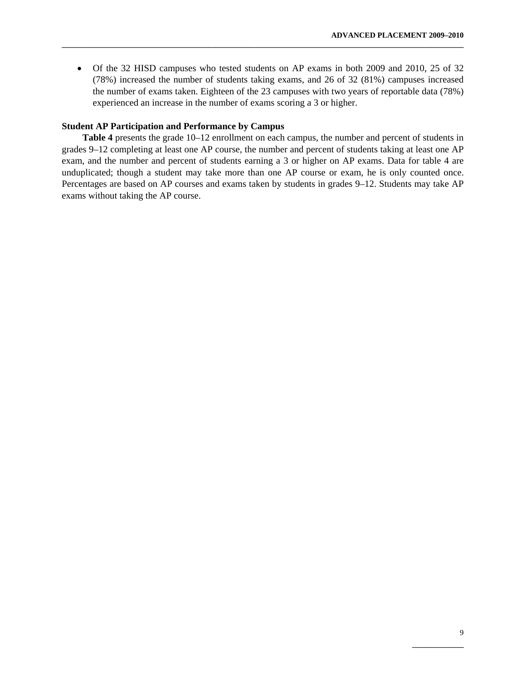• Of the 32 HISD campuses who tested students on AP exams in both 2009 and 2010, 25 of 32 (78%) increased the number of students taking exams, and 26 of 32 (81%) campuses increased the number of exams taken. Eighteen of the 23 campuses with two years of reportable data (78%) experienced an increase in the number of exams scoring a 3 or higher.

**\_\_\_\_\_\_\_\_\_\_\_\_\_\_\_\_\_\_\_\_\_\_\_\_\_\_\_\_\_\_\_\_\_\_\_\_\_\_\_\_\_\_\_\_\_\_\_\_\_\_\_\_\_\_\_\_\_\_\_\_\_\_\_\_\_\_\_\_\_\_\_\_\_\_\_\_\_\_\_\_\_\_\_\_\_\_\_\_\_\_\_\_\_\_\_\_\_\_\_\_\_\_\_\_** 

# **Student AP Participation and Performance by Campus**

**Table 4** presents the grade 10–12 enrollment on each campus, the number and percent of students in grades 9–12 completing at least one AP course, the number and percent of students taking at least one AP exam, and the number and percent of students earning a 3 or higher on AP exams. Data for table 4 are unduplicated; though a student may take more than one AP course or exam, he is only counted once. Percentages are based on AP courses and exams taken by students in grades 9–12. Students may take AP exams without taking the AP course.

 $\mathcal{L}_\mathcal{L}$  , which is a set of the set of the set of the set of the set of the set of the set of the set of the set of the set of the set of the set of the set of the set of the set of the set of the set of the set of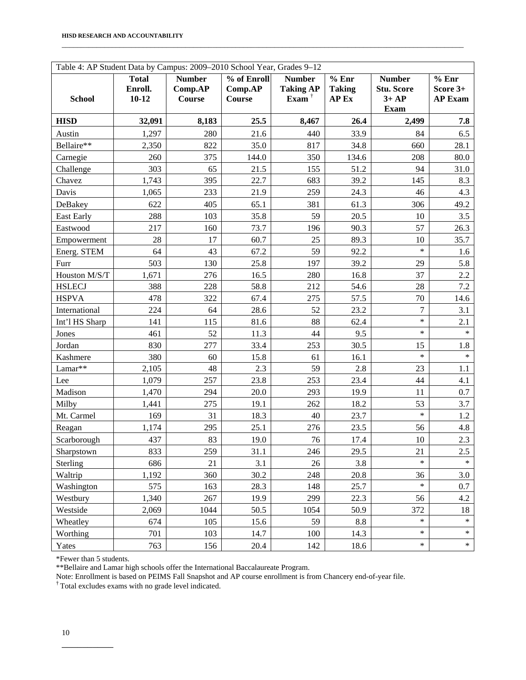| Table 4: AP Student Data by Campus: 2009-2010 School Year, Grades 9-12 |                                      |                                           |                                  |                                                        |                                 |                                                             |                                     |
|------------------------------------------------------------------------|--------------------------------------|-------------------------------------------|----------------------------------|--------------------------------------------------------|---------------------------------|-------------------------------------------------------------|-------------------------------------|
| <b>School</b>                                                          | <b>Total</b><br>Enroll.<br>$10 - 12$ | <b>Number</b><br>Comp.AP<br><b>Course</b> | % of Enroll<br>Comp.AP<br>Course | <b>Number</b><br><b>Taking AP</b><br>Exam $^{\dagger}$ | % Enr<br><b>Taking</b><br>AP Ex | <b>Number</b><br><b>Stu. Score</b><br>$3+AP$<br><b>Exam</b> | % Enr<br>Score 3+<br><b>AP Exam</b> |
| <b>HISD</b>                                                            | 32,091                               | 8,183                                     | 25.5                             | 8,467                                                  | 26.4                            | 2,499                                                       | 7.8                                 |
| Austin                                                                 | 1,297                                | 280                                       | 21.6                             | 440                                                    | 33.9                            | 84                                                          | 6.5                                 |
| Bellaire**                                                             | 2,350                                | 822                                       | 35.0                             | 817                                                    | 34.8                            | 660                                                         | 28.1                                |
| Carnegie                                                               | 260                                  | 375                                       | 144.0                            | 350                                                    | 134.6                           | 208                                                         | 80.0                                |
| Challenge                                                              | 303                                  | 65                                        | 21.5                             | 155                                                    | 51.2                            | 94                                                          | 31.0                                |
| Chavez                                                                 | 1,743                                | 395                                       | 22.7                             | 683                                                    | 39.2                            | 145                                                         | 8.3                                 |
| Davis                                                                  | 1,065                                | 233                                       | 21.9                             | 259                                                    | 24.3                            | 46                                                          | 4.3                                 |
| DeBakey                                                                | 622                                  | 405                                       | 65.1                             | 381                                                    | 61.3                            | 306                                                         | 49.2                                |
| <b>East Early</b>                                                      | 288                                  | 103                                       | 35.8                             | 59                                                     | 20.5                            | 10                                                          | 3.5                                 |
| Eastwood                                                               | 217                                  | 160                                       | 73.7                             | 196                                                    | 90.3                            | 57                                                          | 26.3                                |
| Empowerment                                                            | 28                                   | 17                                        | 60.7                             | 25                                                     | 89.3                            | 10                                                          | 35.7                                |
| Energ. STEM                                                            | 64                                   | 43                                        | 67.2                             | 59                                                     | 92.2                            | $\ast$                                                      | 1.6                                 |
| Furr                                                                   | 503                                  | 130                                       | 25.8                             | 197                                                    | 39.2                            | 29                                                          | 5.8                                 |
| Houston M/S/T                                                          | 1,671                                | 276                                       | 16.5                             | 280                                                    | 16.8                            | 37                                                          | 2.2                                 |
| <b>HSLECJ</b>                                                          | 388                                  | 228                                       | 58.8                             | 212                                                    | 54.6                            | 28                                                          | 7.2                                 |
| <b>HSPVA</b>                                                           | 478                                  | 322                                       | 67.4                             | 275                                                    | 57.5                            | 70                                                          | 14.6                                |
| International                                                          | 224                                  | 64                                        | 28.6                             | 52                                                     | 23.2                            | $\tau$                                                      | 3.1                                 |
| Int'l HS Sharp                                                         | 141                                  | 115                                       | 81.6                             | 88                                                     | 62.4                            | $\ast$                                                      | 2.1                                 |
| Jones                                                                  | 461                                  | 52                                        | 11.3                             | 44                                                     | 9.5                             | $\ast$                                                      | $\ast$                              |
| Jordan                                                                 | 830                                  | 277                                       | 33.4                             | 253                                                    | 30.5                            | 15                                                          | 1.8                                 |
| Kashmere                                                               | 380                                  | 60                                        | 15.8                             | 61                                                     | 16.1                            | $\ast$                                                      | $\ast$                              |
| Lamar**                                                                | 2,105                                | 48                                        | 2.3                              | 59                                                     | 2.8                             | 23                                                          | 1.1                                 |
| Lee                                                                    | 1,079                                | 257                                       | 23.8                             | 253                                                    | 23.4                            | 44                                                          | 4.1                                 |
| Madison                                                                | 1,470                                | 294                                       | 20.0                             | 293                                                    | 19.9                            | 11                                                          | 0.7                                 |
| Milby                                                                  | 1,441                                | 275                                       | 19.1                             | 262                                                    | 18.2                            | 53                                                          | 3.7                                 |
| Mt. Carmel                                                             | 169                                  | 31                                        | 18.3                             | 40                                                     | 23.7                            | $\ast$                                                      | 1.2                                 |
| Reagan                                                                 | 1,174                                | 295                                       | 25.1                             | 276                                                    | 23.5                            | 56                                                          | 4.8                                 |
| Scarborough                                                            | 437                                  | 83                                        | 19.0                             | 76                                                     | 17.4                            | 10                                                          | 2.3                                 |
| Sharpstown                                                             | 833                                  | 259                                       | 31.1                             | 246                                                    | 29.5                            | 21                                                          | 2.5                                 |
| Sterling                                                               | 686                                  | 21                                        | 3.1                              | 26                                                     | 3.8                             | $\ast$                                                      | $\ast$                              |
| Waltrip                                                                | 1,192                                | 360                                       | 30.2                             | 248                                                    | 20.8                            | 36                                                          | 3.0                                 |
| Washington                                                             | 575                                  | 163                                       | 28.3                             | 148                                                    | 25.7                            | $\ast$                                                      | 0.7                                 |
| Westbury                                                               | 1,340                                | 267                                       | 19.9                             | 299                                                    | 22.3                            | 56                                                          | 4.2                                 |
| Westside                                                               | 2,069                                | 1044                                      | 50.5                             | 1054                                                   | 50.9                            | 372                                                         | 18                                  |
| Wheatley                                                               | 674                                  | 105                                       | 15.6                             | 59                                                     | 8.8                             | $\ast$                                                      | $\ast$                              |
| Worthing                                                               | 701                                  | 103                                       | 14.7                             | 100                                                    | 14.3                            | $\ast$                                                      | $\ast$                              |
| Yates                                                                  | 763                                  | 156                                       | 20.4                             | 142                                                    | 18.6                            | $\ast$                                                      | $\ast$                              |

\*Fewer than 5 students.

 $\overline{\phantom{a}}$ 

\*\*Bellaire and Lamar high schools offer the International Baccalaureate Program.

Note: Enrollment is based on PEIMS Fall Snapshot and AP course enrollment is from Chancery end-of-year file.

† Total excludes exams with no grade level indicated.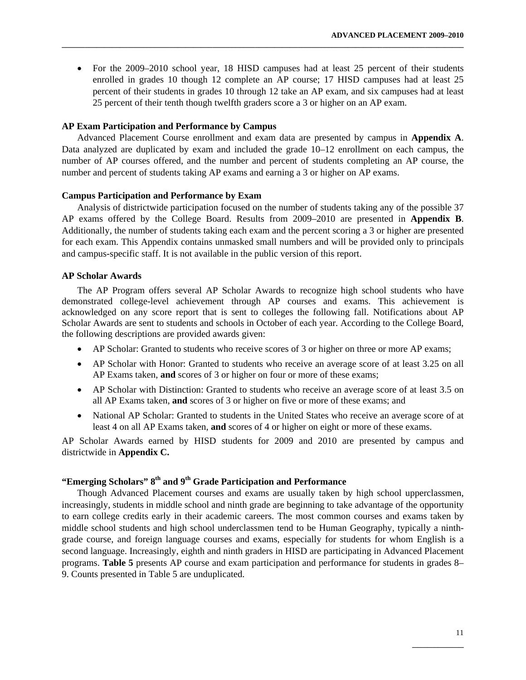• For the 2009–2010 school year, 18 HISD campuses had at least 25 percent of their students enrolled in grades 10 though 12 complete an AP course; 17 HISD campuses had at least 25 percent of their students in grades 10 through 12 take an AP exam, and six campuses had at least 25 percent of their tenth though twelfth graders score a 3 or higher on an AP exam.

**\_\_\_\_\_\_\_\_\_\_\_\_\_\_\_\_\_\_\_\_\_\_\_\_\_\_\_\_\_\_\_\_\_\_\_\_\_\_\_\_\_\_\_\_\_\_\_\_\_\_\_\_\_\_\_\_\_\_\_\_\_\_\_\_\_\_\_\_\_\_\_\_\_\_\_\_\_\_\_\_\_\_\_\_\_\_\_\_\_\_\_\_\_\_\_\_\_\_\_\_\_\_\_\_** 

# **AP Exam Participation and Performance by Campus**

Advanced Placement Course enrollment and exam data are presented by campus in **Appendix A**. Data analyzed are duplicated by exam and included the grade 10–12 enrollment on each campus, the number of AP courses offered, and the number and percent of students completing an AP course, the number and percent of students taking AP exams and earning a 3 or higher on AP exams.

# **Campus Participation and Performance by Exam**

Analysis of districtwide participation focused on the number of students taking any of the possible 37 AP exams offered by the College Board. Results from 2009–2010 are presented in **Appendix B**. Additionally, the number of students taking each exam and the percent scoring a 3 or higher are presented for each exam. This Appendix contains unmasked small numbers and will be provided only to principals and campus-specific staff. It is not available in the public version of this report.

# **AP Scholar Awards**

The AP Program offers several AP Scholar Awards to recognize high school students who have demonstrated college-level achievement through AP courses and exams. This achievement is acknowledged on any score report that is sent to colleges the following fall. Notifications about AP Scholar Awards are sent to students and schools in October of each year. According to the College Board, the following descriptions are provided awards given:

- AP Scholar: Granted to students who receive scores of 3 or higher on three or more AP exams;
- AP Scholar with Honor: Granted to students who receive an average score of at least 3.25 on all AP Exams taken, **and** scores of 3 or higher on four or more of these exams;
- AP Scholar with Distinction: Granted to students who receive an average score of at least 3.5 on all AP Exams taken, **and** scores of 3 or higher on five or more of these exams; and
- National AP Scholar: Granted to students in the United States who receive an average score of at least 4 on all AP Exams taken, **and** scores of 4 or higher on eight or more of these exams.

AP Scholar Awards earned by HISD students for 2009 and 2010 are presented by campus and districtwide in **Appendix C.** 

# **"Emerging Scholars" 8th and 9th Grade Participation and Performance**

Though Advanced Placement courses and exams are usually taken by high school upperclassmen, increasingly, students in middle school and ninth grade are beginning to take advantage of the opportunity to earn college credits early in their academic careers. The most common courses and exams taken by middle school students and high school underclassmen tend to be Human Geography, typically a ninthgrade course, and foreign language courses and exams, especially for students for whom English is a second language. Increasingly, eighth and ninth graders in HISD are participating in Advanced Placement programs. **Table 5** presents AP course and exam participation and performance for students in grades 8– 9. Counts presented in Table 5 are unduplicated.

 $\mathcal{L}_\mathcal{L}$  , which is a set of the set of the set of the set of the set of the set of the set of the set of the set of the set of the set of the set of the set of the set of the set of the set of the set of the set of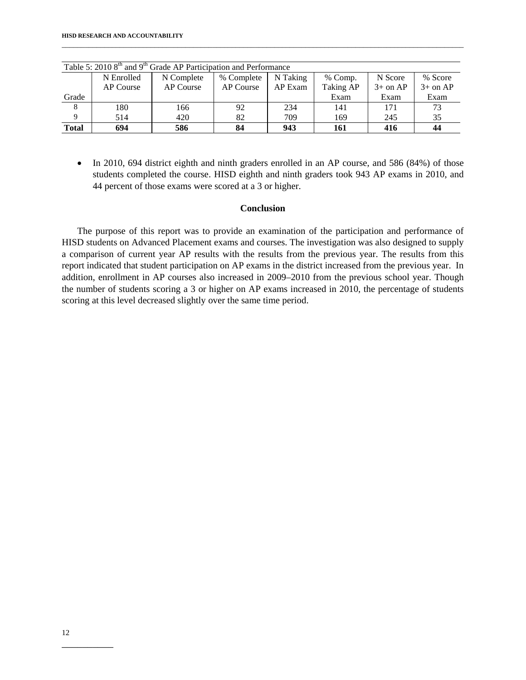|                |            | Table 5: 2010 $8th$ and $9th$ Grade AP Participation and Performance |            |          |           |            |            |
|----------------|------------|----------------------------------------------------------------------|------------|----------|-----------|------------|------------|
|                | N Enrolled | N Complete                                                           | % Complete | N Taking | % Comp.   | N Score    | % Score    |
|                | AP Course  | AP Course                                                            | AP Course  | AP Exam  | Taking AP | $3+$ on AP | $3+$ on AP |
| Grade          |            |                                                                      |            |          | Exam      | Exam       | Exam       |
| 8 <sup>8</sup> | 180        | 166                                                                  | 92         | 234      | 141       | 171        | 73         |
|                | 514        | 420                                                                  | 82         | 709      | 169       | 245        | 35         |
| <b>Total</b>   | 694        | 586                                                                  | 84         | 943      | 161       | 416        | 44         |

• In 2010, 694 district eighth and ninth graders enrolled in an AP course, and 586 (84%) of those students completed the course. HISD eighth and ninth graders took 943 AP exams in 2010, and 44 percent of those exams were scored at a 3 or higher.

# **Conclusion**

The purpose of this report was to provide an examination of the participation and performance of HISD students on Advanced Placement exams and courses. The investigation was also designed to supply a comparison of current year AP results with the results from the previous year. The results from this report indicated that student participation on AP exams in the district increased from the previous year. In addition, enrollment in AP courses also increased in 2009–2010 from the previous school year. Though the number of students scoring a 3 or higher on AP exams increased in 2010, the percentage of students scoring at this level decreased slightly over the same time period.

 $\overline{\phantom{a}}$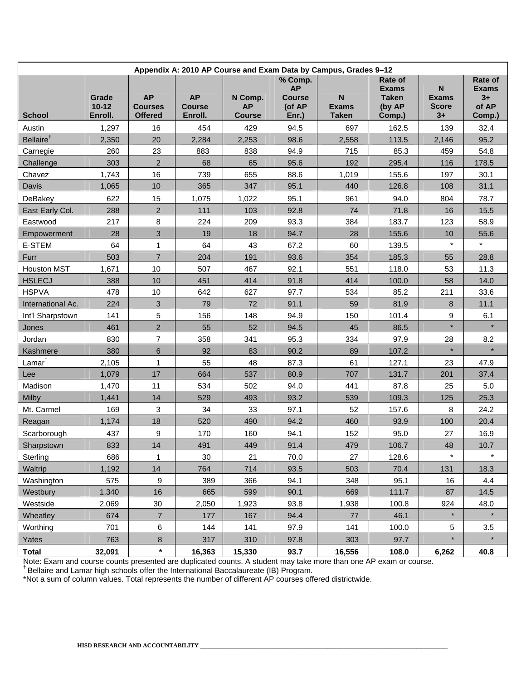|                                    |                               |                                               |                                       |                                       |                                                          | Appendix A: 2010 AP Course and Exam Data by Campus, Grades 9-12 |                                                             |                                                   |                                                    |
|------------------------------------|-------------------------------|-----------------------------------------------|---------------------------------------|---------------------------------------|----------------------------------------------------------|-----------------------------------------------------------------|-------------------------------------------------------------|---------------------------------------------------|----------------------------------------------------|
| <b>School</b>                      | Grade<br>$10 - 12$<br>Enroll. | <b>AP</b><br><b>Courses</b><br><b>Offered</b> | <b>AP</b><br><b>Course</b><br>Enroll. | N Comp.<br><b>AP</b><br><b>Course</b> | % Comp.<br><b>AP</b><br><b>Course</b><br>(of AP<br>Enr.) | ${\bf N}$<br><b>Exams</b><br><b>Taken</b>                       | Rate of<br><b>Exams</b><br><b>Taken</b><br>(by AP<br>Comp.) | ${\sf N}$<br><b>Exams</b><br><b>Score</b><br>$3+$ | Rate of<br><b>Exams</b><br>$3+$<br>of AP<br>Comp.) |
| Austin                             | 1,297                         | 16                                            | 454                                   | 429                                   | 94.5                                                     | 697                                                             | 162.5                                                       | 139                                               | 32.4                                               |
| Bellaire <sup><math>†</math></sup> | 2,350                         | 20                                            | 2,284                                 | 2,253                                 | 98.6                                                     | 2,558                                                           | 113.5                                                       | 2,146                                             | 95.2                                               |
| Carnegie                           | 260                           | 23                                            | 883                                   | 838                                   | 94.9                                                     | 715                                                             | 85.3                                                        | 459                                               | 54.8                                               |
| Challenge                          | 303                           | 2                                             | 68                                    | 65                                    | 95.6                                                     | 192                                                             | 295.4                                                       | 116                                               | 178.5                                              |
| Chavez                             | 1,743                         | 16                                            | 739                                   | 655                                   | 88.6                                                     | 1,019                                                           | 155.6                                                       | 197                                               | 30.1                                               |
| Davis                              | 1,065                         | 10                                            | 365                                   | 347                                   | 95.1                                                     | 440                                                             | 126.8                                                       | 108                                               | 31.1                                               |
| DeBakey                            | 622                           | 15                                            | 1,075                                 | 1,022                                 | 95.1                                                     | 961                                                             | 94.0                                                        | 804                                               | 78.7                                               |
| East Early Col.                    | 288                           | $\overline{2}$                                | 111                                   | 103                                   | 92.8                                                     | 74                                                              | 71.8                                                        | 16                                                | 15.5                                               |
| Eastwood                           | 217                           | 8                                             | 224                                   | 209                                   | 93.3                                                     | 384                                                             | 183.7                                                       | 123                                               | 58.9                                               |
| Empowerment                        | 28                            | 3                                             | 19                                    | 18                                    | 94.7                                                     | 28                                                              | 155.6                                                       | 10                                                | 55.6                                               |
| E-STEM                             | 64                            | $\mathbf{1}$                                  | 64                                    | 43                                    | 67.2                                                     | 60                                                              | 139.5                                                       | $\star$                                           | $\star$                                            |
| Furr                               | 503                           | $\overline{7}$                                | 204                                   | 191                                   | 93.6                                                     | 354                                                             | 185.3                                                       | 55                                                | 28.8                                               |
| <b>Houston MST</b>                 | 1,671                         | 10                                            | 507                                   | 467                                   | 92.1                                                     | 551                                                             | 118.0                                                       | 53                                                | 11.3                                               |
| <b>HSLECJ</b>                      | 388                           | 10                                            | 451                                   | 414                                   | 91.8                                                     | 414                                                             | 100.0                                                       | 58                                                | 14.0                                               |
| <b>HSPVA</b>                       | 478                           | 10                                            | 642                                   | 627                                   | 97.7                                                     | 534                                                             | 85.2                                                        | 211                                               | 33.6                                               |
| International Ac.                  | 224                           | 3                                             | 79                                    | 72                                    | 91.1                                                     | 59                                                              | 81.9                                                        | 8                                                 | 11.1                                               |
| Int'l Sharpstown                   | 141                           | 5                                             | 156                                   | 148                                   | 94.9                                                     | 150                                                             | 101.4                                                       | 9                                                 | 6.1                                                |
| Jones                              | 461                           | $\overline{2}$                                | 55                                    | 52                                    | 94.5                                                     | 45                                                              | 86.5                                                        | $\star$                                           | $\star$                                            |
| Jordan                             | 830                           | $\overline{7}$                                | 358                                   | 341                                   | 95.3                                                     | 334                                                             | 97.9                                                        | 28                                                | 8.2                                                |
| Kashmere                           | 380                           | 6                                             | 92                                    | 83                                    | 90.2                                                     | 89                                                              | 107.2                                                       | $\star$                                           | $\star$                                            |
| Lamar <sup>t</sup>                 | 2,105                         | $\mathbf{1}$                                  | 55                                    | 48                                    | 87.3                                                     | 61                                                              | 127.1                                                       | 23                                                | 47.9                                               |
| Lee                                | 1,079                         | 17                                            | 664                                   | 537                                   | 80.9                                                     | 707                                                             | 131.7                                                       | 201                                               | 37.4                                               |
| Madison                            | 1,470                         | 11                                            | 534                                   | 502                                   | 94.0                                                     | 441                                                             | 87.8                                                        | 25                                                | 5.0                                                |
| Milby                              | 1,441                         | 14                                            | 529                                   | 493                                   | 93.2                                                     | 539                                                             | 109.3                                                       | 125                                               | 25.3                                               |
| Mt. Carmel                         | 169                           | 3                                             | 34                                    | 33                                    | 97.1                                                     | 52                                                              | 157.6                                                       | 8                                                 | 24.2                                               |
| Reagan                             | 1,174                         | 18                                            | 520                                   | 490                                   | 94.2                                                     | 460                                                             | 93.9                                                        | 100                                               | 20.4                                               |
| Scarborough                        | 437                           | $\boldsymbol{9}$                              | 170                                   | 160                                   | 94.1                                                     | 152                                                             | 95.0                                                        | 27                                                | 16.9                                               |
| Sharpstown                         | 833                           | 14                                            | 491                                   | 449                                   | 91.4                                                     | 479                                                             | 106.7                                                       | 48                                                | 10.7                                               |
| Sterling                           | 686                           | $\mathbf{1}$                                  | 30                                    | 21                                    | 70.0                                                     | 27                                                              | 128.6                                                       | $\star$                                           | $\star$                                            |
| Waltrip                            | 1,192                         | 14                                            | 764                                   | 714                                   | 93.5                                                     | 503                                                             | 70.4                                                        | 131                                               | 18.3                                               |
| Washington                         | 575                           | 9                                             | 389                                   | 366                                   | 94.1                                                     | 348                                                             | 95.1                                                        | 16                                                | 4.4                                                |
| Westbury                           | 1,340                         | 16                                            | 665                                   | 599                                   | 90.1                                                     | 669                                                             | 111.7                                                       | 87                                                | 14.5                                               |
| Westside                           | 2,069                         | 30                                            | 2,050                                 | 1,923                                 | 93.8                                                     | 1,938                                                           | 100.8                                                       | 924                                               | 48.0                                               |
| Wheatley                           | 674                           | $\overline{7}$                                | 177                                   | 167                                   | 94.4                                                     | 77                                                              | 46.1                                                        | $\star$                                           | $\star$                                            |
| Worthing                           | 701                           | 6                                             | 144                                   | 141                                   | 97.9                                                     | 141                                                             | 100.0                                                       | 5                                                 | 3.5                                                |
| Yates                              | 763                           | $\bf 8$                                       | 317                                   | 310                                   | 97.8                                                     | 303                                                             | 97.7                                                        | $\star$                                           | $\star$                                            |
| <b>Total</b>                       | 32,091                        | $\star$                                       | 16,363                                | 15,330                                | 93.7                                                     | 16,556                                                          | 108.0                                                       | 6,262                                             | 40.8                                               |

Note: Exam and course counts presented are duplicated counts. A student may take more than one AP exam or course.<br><sup>†</sup> Bellaire and Lamar high schools offer the International Baccalaureate (IB) Program.

\*Not a sum of column values. Total represents the number of different AP courses offered districtwide.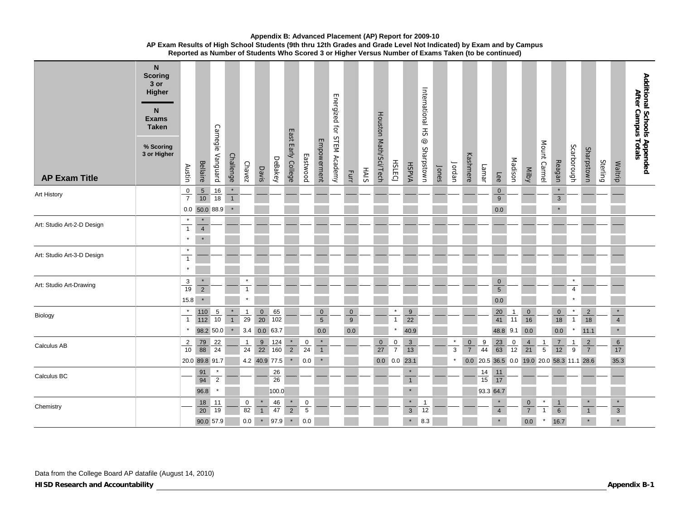|                            | $\mathsf{N}$<br><b>Scoring</b><br>3 or<br>Higher<br>$\mathbf N$<br><b>Exams</b><br><b>Taken</b> |                                                |                                           |                           |                              |                           |                                                  |                   |                                       |                                      |                                      | Energized for       |                                      |             |                                           |                               |                                    | International HS            |       |                        |                             |                       |                                        |                      |                                       |                                    |                                                              |                           |                                  |          |                                       | Additional Schools Appended<br>After Campus Totals |
|----------------------------|-------------------------------------------------------------------------------------------------|------------------------------------------------|-------------------------------------------|---------------------------|------------------------------|---------------------------|--------------------------------------------------|-------------------|---------------------------------------|--------------------------------------|--------------------------------------|---------------------|--------------------------------------|-------------|-------------------------------------------|-------------------------------|------------------------------------|-----------------------------|-------|------------------------|-----------------------------|-----------------------|----------------------------------------|----------------------|---------------------------------------|------------------------------------|--------------------------------------------------------------|---------------------------|----------------------------------|----------|---------------------------------------|----------------------------------------------------|
| <b>AP Exam Title</b>       | % Scoring<br>3 or Higher                                                                        | Austin                                         | <b>Bellaire</b>                           | Carnegie Vanguard         | <b>Challenge</b>             | <b>Chavez</b>             | Davis                                            | <b>DeBakey</b>    | East Early<br>College                 | Eastwood                             | Empowerment                          | <b>STEM Academy</b> | Furr                                 | <b>HAIS</b> | Houston Math/Sci/Tech                     | <b>HSLECJ</b>                 | <b>HSPVA</b>                       | $^\copyright$<br>Sharpstown | Jones | Jordan                 | Kashmere                    | Lamar                 | Lee                                    | Madison              | KaliM                                 | Mount Carmel                       | Reagan                                                       | Scarborough               | Sharpstown                       | Sterling | Waltrip                               |                                                    |
| Art History                |                                                                                                 | $\frac{0}{7}$                                  | $\sqrt{5}$<br>10<br>0.0 50.0 88.9         | 16<br>18                  | $\overline{1}$               |                           |                                                  |                   |                                       |                                      |                                      |                     |                                      |             |                                           |                               |                                    |                             |       |                        |                             |                       | $\mathbf 0$<br>$\boldsymbol{9}$<br>0.0 |                      |                                       |                                    | $\star$<br>$\sqrt{3}$<br>$\star$                             |                           |                                  |          |                                       |                                                    |
| Art: Studio Art-2-D Design |                                                                                                 | $\pmb{\ast}$<br>$\mathbf{1}$<br>$\star$        | $\pmb{\ast}$<br>$\overline{4}$<br>$\star$ |                           |                              |                           |                                                  |                   |                                       |                                      |                                      |                     |                                      |             |                                           |                               |                                    |                             |       |                        |                             |                       |                                        |                      |                                       |                                    |                                                              |                           |                                  |          |                                       |                                                    |
| Art: Studio Art-3-D Design |                                                                                                 | $\star$<br>$\mathbf{1}$<br>$\star$             |                                           |                           |                              |                           |                                                  |                   |                                       |                                      |                                      |                     |                                      |             |                                           |                               |                                    |                             |       |                        |                             |                       |                                        |                      |                                       |                                    |                                                              |                           |                                  |          |                                       |                                                    |
| Art: Studio Art-Drawing    |                                                                                                 | $\overline{3}$<br>19<br>15.8                   | $\star$<br>$\overline{2}$                 |                           |                              | $\star$<br>$\mathbf{1}$   |                                                  |                   |                                       |                                      |                                      |                     |                                      |             |                                           |                               |                                    |                             |       |                        |                             |                       | $\mathbf{0}$<br>$5\phantom{.0}$<br>0.0 |                      |                                       |                                    |                                                              | $\star$<br>$\overline{4}$ |                                  |          |                                       |                                                    |
| Biology                    |                                                                                                 | $\pmb{\ast}$<br>$\overline{1}$<br>$\pmb{\ast}$ | 110<br>112<br>98.2 50.0                   | $\sqrt{5}$<br>10          | $\mathbf{1}$<br>$\pmb{\ast}$ | $\mathbf{1}$<br>29<br>3.4 | $\overline{0}$<br>$\overline{20}$<br>$0.0\,63.7$ | 65<br>102         |                                       |                                      | $\pmb{0}$<br>$\overline{5}$<br>0.0   |                     | $\mathbf 0$<br>$\overline{9}$<br>0.0 |             |                                           | $\star$<br>$\mathbf{1}$       | $9\,$<br>$\overline{22}$<br>40.9   |                             |       |                        |                             |                       | 20<br>41<br>48.8 9.1                   | -1<br>11             | $\overline{0}$<br>16<br>0.0           |                                    | $\mathbf 0$<br>18<br>0.0                                     | $\mathbf{1}$              | $\overline{2}$<br>18<br>11.1     |          | $\star$<br>$\overline{4}$<br>$^\star$ |                                                    |
| Calculus AB                |                                                                                                 | $\frac{2}{10}$                                 | 79<br>$\overline{88}$<br>20.0 89.8 91.7   | 22<br>24                  |                              | $\mathbf{1}$<br>24        | 9<br>$\overline{22}$<br>4.2 40.9 77.5            | 124<br>160        | $\star$<br>$\overline{2}$<br>$\star$  | $\mathbf 0$<br>24<br>0.0             | $\star$<br>$\overline{1}$<br>$\star$ |                     |                                      |             | $\bf{0}$<br>$\overline{27}$<br>$0.0\ 0.0$ | $\mathbf 0$<br>$\overline{7}$ | $\overline{3}$<br>13<br>23.1       |                             |       | $\star$<br>$\mathsf 3$ | $\pmb{0}$<br>$\overline{7}$ | $\overline{9}$<br>44  | $\frac{23}{63}$                        | $\overline{0}$<br>12 | $\overline{4}$<br>$\overline{21}$     | $\frac{1}{5}$                      | $\frac{7}{12}$<br>0.0 20.5 36.5 0.0 19.0 20.0 58.3 11.1 28.6 | $\mathbf{1}$<br>9         | $\overline{2}$<br>$\overline{7}$ |          | $\frac{6}{17}$<br>35.3                |                                                    |
| Calculus BC                |                                                                                                 |                                                | 91<br>94<br>96.8                          | $\star$<br>$\overline{2}$ |                              |                           |                                                  | 26<br>26<br>100.0 |                                       |                                      |                                      |                     |                                      |             |                                           |                               | $\star$<br>$\mathbf{1}$<br>$\star$ |                             |       |                        |                             | 14<br>15<br>93.3 64.7 | 11<br>17                               |                      |                                       |                                    |                                                              |                           |                                  |          |                                       |                                                    |
| Chemistry                  |                                                                                                 |                                                | 18<br>20<br>90.0 57.9                     | 11<br>19                  |                              | $\mathbf 0$<br>82<br>0.0  | $\overline{1}$<br>$^\star$                       | 46<br>47<br>97.9  | $\star$<br>$\overline{2}$<br>$^\star$ | $\mathbf 0$<br>$\overline{5}$<br>0.0 |                                      |                     |                                      |             |                                           |                               | $\star$<br>$\mathbf{3}$<br>$\star$ | $\overline{1}$<br>12<br>8.3 |       |                        |                             |                       | $\star$<br>$\overline{4}$<br>$\star$   |                      | $\mathbf{0}$<br>$\overline{7}$<br>0.0 | $\star$<br>$\mathbf{1}$<br>$\star$ | $\mathbf{1}$<br>$\,6\,$<br>16.7                              |                           | $\mathbf{1}$<br>$\star$          |          | $\star$<br>$\overline{3}$<br>$\star$  |                                                    |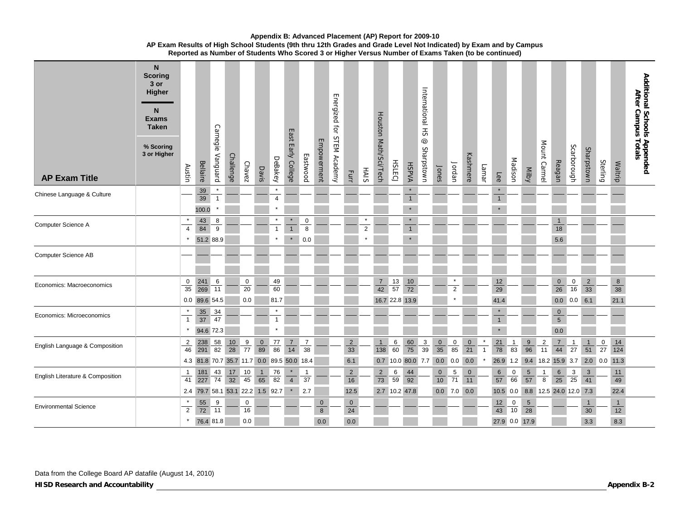|                                  | N<br><b>Scoring</b><br>3 or<br>Higher<br>N<br><b>Exams</b><br><b>Taken</b> |                           |                                                                       |                              |                       |                          |                                   |                                | East                              |                           |                                      | Energized for   |                              |                                    |                       |                            |                                    | International HS              |                                                            |                                   |                           |              |                                            |                           |                               |                                                        |                                   |                                       |                                   |                   |                        | Additional Schools<br>After Campus |
|----------------------------------|----------------------------------------------------------------------------|---------------------------|-----------------------------------------------------------------------|------------------------------|-----------------------|--------------------------|-----------------------------------|--------------------------------|-----------------------------------|---------------------------|--------------------------------------|-----------------|------------------------------|------------------------------------|-----------------------|----------------------------|------------------------------------|-------------------------------|------------------------------------------------------------|-----------------------------------|---------------------------|--------------|--------------------------------------------|---------------------------|-------------------------------|--------------------------------------------------------|-----------------------------------|---------------------------------------|-----------------------------------|-------------------|------------------------|------------------------------------|
| <b>AP Exam Title</b>             | % Scoring<br>3 or Higher                                                   | Austin                    | <b>Bellaire</b>                                                       | Carnegie<br>Vanguard         | <b>Challenge</b>      | Chavez                   | Davis                             | <b>DeBakey</b>                 | Early<br>College                  | Eastwood                  | Empowerment                          | STEM<br>Academy | Furr                         | <b>HAIS</b>                        | Houston Math/Sci/Tech | <b>HSLECJ</b>              | <b>HSPVA</b>                       | $^{\copyright}$<br>Sharpstown | Jones                                                      | Jordan                            | Kashmere                  | Lamar        | Lee                                        | Madison                   | KaliM                         | Mount<br>Carmel                                        | Reagan                            | Scarborough                           | Sharpstown                        | Sterling          | Waltrip                | s Appended<br>Fotals               |
| Chinese Language & Culture       |                                                                            |                           | 39<br>39<br>100.0                                                     | $\pmb{\ast}$<br>$\mathbf{1}$ |                       |                          |                                   | $\star$<br>$\overline{4}$      |                                   |                           |                                      |                 |                              |                                    |                       |                            | $\star$<br>$\mathbf{1}$<br>$\star$ |                               |                                                            |                                   |                           |              | $\mathbf{1}$<br>$\star$                    |                           |                               |                                                        |                                   |                                       |                                   |                   |                        |                                    |
| Computer Science A               |                                                                            | $\overline{4}$            | 43<br>84<br>51.2 88.9                                                 | 8<br>$\boldsymbol{9}$        |                       |                          |                                   | $\overline{1}$                 | $\mathbf{1}$<br>$\star$           | 0<br>8<br>0.0             |                                      |                 |                              | $\star$<br>$\overline{\mathbf{c}}$ |                       |                            | $\star$<br>$\mathbf{1}$            |                               |                                                            |                                   |                           |              |                                            |                           |                               |                                                        | $\mathbf{1}$<br>18<br>5.6         |                                       |                                   |                   |                        |                                    |
| Computer Science AB              |                                                                            |                           |                                                                       |                              |                       |                          |                                   |                                |                                   |                           |                                      |                 |                              |                                    |                       |                            |                                    |                               |                                                            |                                   |                           |              |                                            |                           |                               |                                                        |                                   |                                       |                                   |                   |                        |                                    |
| Economics: Macroeconomics        |                                                                            | 0<br>35                   | 241<br>$\overline{269}$<br>0.0 89.6 54.5                              | 6<br>11                      |                       | $\mathbf 0$<br>20<br>0.0 |                                   | 49<br>60<br>81.7               |                                   |                           |                                      |                 |                              |                                    | $\overline{7}$<br>42  | 13<br>57<br>16.7 22.8 13.9 | 10<br>$\overline{72}$              |                               |                                                            | $\overline{2}$                    |                           |              | 12<br>29<br>41.4                           |                           |                               |                                                        | $\pmb{0}$<br>26                   | 0<br>$\overline{16}$<br>$0.0$ 0.0 6.1 | $\overline{2}$<br>$\overline{33}$ |                   | $\frac{8}{38}$<br>21.1 |                                    |
| Economics: Microeconomics        |                                                                            | $\mathbf{1}$              | 35<br>37<br>94.6 72.3                                                 | 34<br>47                     |                       |                          |                                   | $\pmb{\ast}$<br>$\overline{1}$ |                                   |                           |                                      |                 |                              |                                    |                       |                            |                                    |                               |                                                            |                                   |                           |              | $\star$<br>$\mathbf{1}$<br>*               |                           |                               |                                                        | $\mathbf 0$<br>$\sqrt{5}$<br>0.0  |                                       |                                   |                   |                        |                                    |
| English Language & Composition   |                                                                            | $\overline{2}$<br>46      | 238<br>$\overline{291}$<br>4.3 81.8 70.7 35.7 11.7 0.0 89.5 50.0 18.4 | 58<br>$\overline{82}$        | 10<br>$\overline{28}$ | 9<br>77                  | $\overline{0}$<br>$\overline{89}$ | 77<br>86                       | $\overline{7}$<br>$\overline{14}$ | $\overline{7}$<br>38      |                                      |                 | $\overline{2}$<br>33<br>6.1  |                                    | $\mathbf{1}$<br>138   | $6 \overline{}$<br>60      | 60<br>$\overline{75}$              | $\frac{3}{39}$                | $\pmb{0}$<br>$\frac{1}{35}$<br>$0.7$ 10.0 80.0 7.7 0.0 0.0 | 0<br>85                           | $\mathbf{0}$<br>21<br>0.0 | $\mathbf{1}$ | 21<br>$\overline{78}$<br>26.9              | $\mathbf{1}$<br>83<br>1.2 | 9<br>$\overline{96}$          | $\overline{2}$<br>11<br>9.4 18.2 15.9 3.7 2.0 0.0 11.3 | $\overline{7}$<br>$\overline{44}$ | $\mathbf{1}$<br>27                    | $\overline{1}$<br>$\overline{51}$ | $\mathbf 0$<br>27 | 14<br>124              |                                    |
| English Literature & Composition |                                                                            | $\mathbf{1}$<br>41<br>2.4 | 181<br>227<br>79.7 58.1 53.1 22.2 1.5 92.7                            | $\frac{43}{74}$              | 17<br>$\overline{32}$ | 10<br>$\overline{45}$    | $\overline{1}$<br>65              | 76<br>82                       | $\overline{4}$<br>$\star$         | $\mathbf{1}$<br>37<br>2.7 |                                      |                 | $\overline{2}$<br>16<br>12.5 |                                    | $\overline{2}$<br>73  | $6\overline{}$<br>59       | 44<br>92<br>2.7 10.2 47.8          |                               | $\mathbf 0$<br>10                                          | $\sqrt{5}$<br>71<br>$0.0$ 7.0 0.0 | $\mathbf 0$<br>11         |              | 6<br>57<br>10.5 0.0 8.8 12.5 24.0 12.0 7.3 | 0<br>66                   | $\sqrt{5}$<br>$\overline{57}$ | $\mathbf{1}$<br>$\bf8$                                 | $\frac{6}{25}$                    | 3<br>$\overline{25}$                  | $\mathbf{3}$<br>$\overline{41}$   |                   | 11<br>49<br>22.4       |                                    |
| <b>Environmental Science</b>     |                                                                            | $\overline{2}$            | 55<br>72<br>76.4 81.8                                                 | 9<br>11                      |                       | $\mathbf 0$<br>16<br>0.0 |                                   |                                |                                   |                           | $\pmb{0}$<br>$\boldsymbol{8}$<br>0.0 |                 | $\mathbf 0$<br>24<br>0.0     |                                    |                       |                            |                                    |                               |                                                            |                                   |                           |              | 12<br>43<br>27.9 0.0 17.9                  | $\mathbf 0$<br>10         | $\sqrt{5}$<br>28              |                                                        |                                   |                                       | $\mathbf{1}$<br>30<br>3.3         |                   | 1<br>12<br>8.3         |                                    |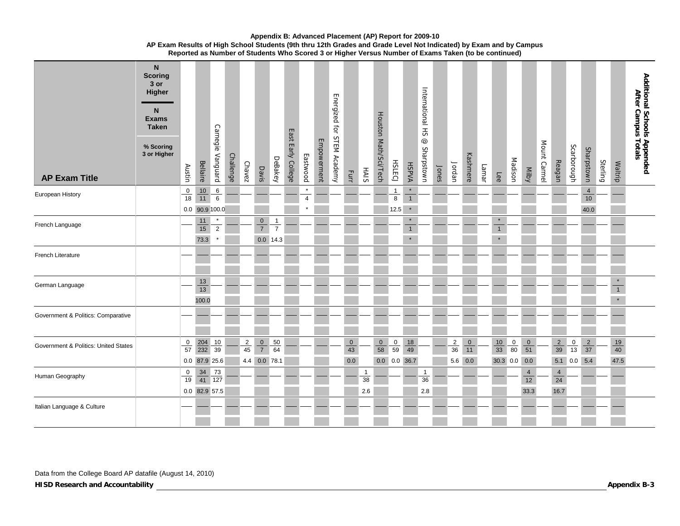|                                      | N<br><b>Scoring</b><br>3 or<br>Higher<br>N<br><b>Exams</b><br><b>Taken</b> |                   |                                           |                                                |                  |                      |                                                  |                                |                    |                           |             | Energized for STEM Academy |                          |                           |                       |                             |                                      | International HS             |       |                                                  |                    |       |                                    |                   |                              |              |                                       |             |                                   |          |                         | <b>Additional Schools</b><br>After Campus |
|--------------------------------------|----------------------------------------------------------------------------|-------------------|-------------------------------------------|------------------------------------------------|------------------|----------------------|--------------------------------------------------|--------------------------------|--------------------|---------------------------|-------------|----------------------------|--------------------------|---------------------------|-----------------------|-----------------------------|--------------------------------------|------------------------------|-------|--------------------------------------------------|--------------------|-------|------------------------------------|-------------------|------------------------------|--------------|---------------------------------------|-------------|-----------------------------------|----------|-------------------------|-------------------------------------------|
| <b>AP Exam Title</b>                 | % Scoring<br>3 or Higher                                                   | Austin            | Bellaire                                  | Carnegie Vanguard                              | <b>Challenge</b> | Chavez               | Davis                                            | <b>DeBakey</b>                 | East Early College | Eastwood                  | Empowerment |                            | Furr                     | <b>HAIS</b>               | Houston Math/Sci/Tech | <b>HSLECJ</b>               | <b>HSPVA</b>                         | $^{\circledR}$<br>Sharpstown | Jones | Jordan                                           | Kashmere           | Lamar | Lee                                | Madison           | KaliM                        | Mount Carmel | Reagan                                | Scarborough | Sharpstown                        | Sterling | Waltrip                 | s Appended<br>S Totals                    |
| European History                     |                                                                            | $\mathbf 0$<br>18 | $10$<br>$\overline{11}$<br>0.0 90.9 100.0 | 6<br>$\overline{6}$                            |                  |                      |                                                  |                                |                    | $\star$<br>$\overline{4}$ |             |                            |                          |                           |                       | $\overline{1}$<br>8<br>12.5 | $\star$<br>$\overline{1}$<br>$\star$ |                              |       |                                                  |                    |       |                                    |                   |                              |              |                                       |             | $\overline{4}$<br>10<br>40.0      |          |                         |                                           |
| French Language                      |                                                                            |                   | 11<br>15<br>73.3                          | $\star$<br>$\overline{2}$<br>$\star$           |                  |                      | $\mathbf 0$<br>$\overline{7}$<br>$0.0$ 14.3      | $\mathbf{1}$<br>$\overline{7}$ |                    |                           |             |                            |                          |                           |                       |                             | $\star$<br>$\mathbf{1}$<br>$\star$   |                              |       |                                                  |                    |       | $\star$<br>$\mathbf{1}$<br>$\star$ |                   |                              |              |                                       |             |                                   |          |                         |                                           |
| French Literature                    |                                                                            |                   |                                           |                                                |                  |                      |                                                  |                                |                    |                           |             |                            |                          |                           |                       |                             |                                      |                              |       |                                                  |                    |       |                                    |                   |                              |              |                                       |             |                                   |          |                         |                                           |
| German Language                      |                                                                            |                   | 13<br>13<br>100.0                         |                                                |                  |                      |                                                  |                                |                    |                           |             |                            |                          |                           |                       |                             |                                      |                              |       |                                                  |                    |       |                                    |                   |                              |              |                                       |             |                                   |          | $\star$<br>1<br>$\star$ |                                           |
| Government & Politics: Comparative   |                                                                            |                   |                                           |                                                |                  |                      |                                                  |                                |                    |                           |             |                            |                          |                           |                       |                             |                                      |                              |       |                                                  |                    |       |                                    |                   |                              |              |                                       |             |                                   |          |                         |                                           |
| Government & Politics: United States |                                                                            | $\mathbf 0$<br>57 | 204<br>$\frac{1}{232}$<br>0.0 87.9 25.6   | 10<br>39                                       |                  | $\overline{2}$<br>45 | $\mathbf{0}$<br>$\boldsymbol{7}$<br>4.4 0.0 78.1 | 50<br>64                       |                    |                           |             |                            | $\mathbf 0$<br>43<br>0.0 |                           | $\overline{0}$<br>58  | 0<br>59<br>$0.0$ 0.0 36.7   | 18<br>49                             |                              |       | $\overline{2}$<br>$\overline{36}$<br>$5.6 \ 0.0$ | $\mathbf{0}$<br>11 |       | 10<br>33<br>$30.3$ 0.0 0.0         | $\mathbf 0$<br>80 | $\overline{0}$<br>51         |              | $\overline{2}$<br>39<br>$5.1$ 0.0 5.4 | 0<br>13     | $\overline{2}$<br>$\overline{37}$ |          | $\frac{19}{40}$<br>47.5 |                                           |
| Human Geography                      |                                                                            | 0<br>19           | 34<br>0.0 82.9 57.5                       | $\boxed{73}$<br>$\frac{1}{41}$ $\frac{1}{127}$ |                  |                      |                                                  |                                |                    |                           |             |                            |                          | $\mathbf{1}$<br>38<br>2.6 |                       |                             |                                      | $\mathbf{1}$<br>36<br>2.8    |       |                                                  |                    |       |                                    |                   | $\overline{4}$<br>12<br>33.3 |              | $\overline{4}$<br>24<br>16.7          |             |                                   |          |                         |                                           |
| Italian Language & Culture           |                                                                            |                   |                                           |                                                |                  |                      |                                                  |                                |                    |                           |             |                            |                          |                           |                       |                             |                                      |                              |       |                                                  |                    |       |                                    |                   |                              |              |                                       |             |                                   |          |                         |                                           |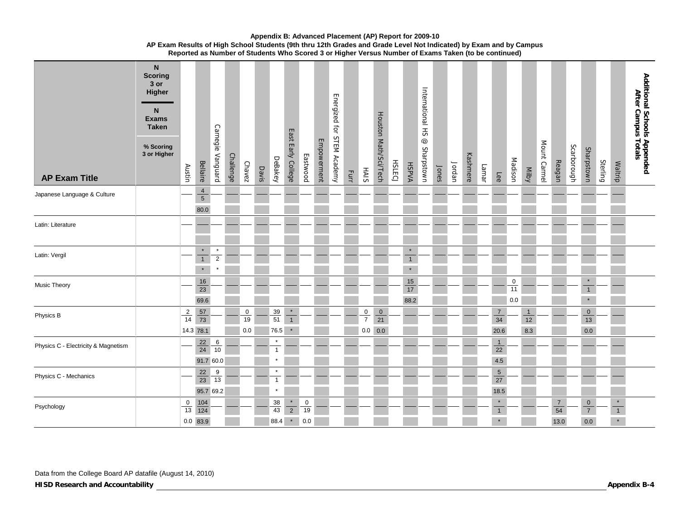|                                     | N<br><b>Scoring</b><br>3 or<br>Higher<br>$\mathsf{N}$<br><b>Exams</b><br><b>Taken</b><br>% Scoring<br>3 or Higher |                      |                                      | Carnegie Vanguard                |                  |                          |       |                           | East Early College                    |                          | Empowerment | Energized for STEM Academy |      |                     | Houston Math/Sci/Tech            |               |                                    | International HS<br>$\circledS$<br>Sharpstown |       |        |          |       |                                      |                          |                           | Mount Carmel |                              | Scarborough | Sharpstown                           |          |                                      | Additional Schools<br>tional Schools Appended<br>After Campus Totals |
|-------------------------------------|-------------------------------------------------------------------------------------------------------------------|----------------------|--------------------------------------|----------------------------------|------------------|--------------------------|-------|---------------------------|---------------------------------------|--------------------------|-------------|----------------------------|------|---------------------|----------------------------------|---------------|------------------------------------|-----------------------------------------------|-------|--------|----------|-------|--------------------------------------|--------------------------|---------------------------|--------------|------------------------------|-------------|--------------------------------------|----------|--------------------------------------|----------------------------------------------------------------------|
| <b>AP Exam Title</b>                |                                                                                                                   | Austin               | Bellaire                             |                                  | <b>Challenge</b> | Chavez                   | Davis | <b>DeBakey</b>            |                                       | Eastwood                 |             |                            | Furr | <b>HAIS</b>         |                                  | <b>HSLECJ</b> | <b>HSPVA</b>                       |                                               | Jones | Jordan | Kashmere | Lamar | Lee                                  | Madison                  | KaliM                     |              | Reagan                       |             |                                      | Sterling | Waltrip                              |                                                                      |
| Japanese Language & Culture         |                                                                                                                   |                      | $\overline{4}$<br>$\sqrt{5}$<br>80.0 |                                  |                  |                          |       |                           |                                       |                          |             |                            |      |                     |                                  |               |                                    |                                               |       |        |          |       |                                      |                          |                           |              |                              |             |                                      |          |                                      |                                                                      |
| Latin: Literature                   |                                                                                                                   |                      |                                      |                                  |                  |                          |       |                           |                                       |                          |             |                            |      |                     |                                  |               |                                    |                                               |       |        |          |       |                                      |                          |                           |              |                              |             |                                      |          |                                      |                                                                      |
| Latin: Vergil                       |                                                                                                                   |                      | $\star$<br>$\mathbf{1}$<br>$\star$   | $\star$<br>$\sqrt{2}$<br>$\star$ |                  |                          |       |                           |                                       |                          |             |                            |      |                     |                                  |               | $\star$<br>$\mathbf{1}$<br>$\star$ |                                               |       |        |          |       |                                      |                          |                           |              |                              |             |                                      |          |                                      |                                                                      |
| Music Theory                        |                                                                                                                   |                      | 16<br>23<br>69.6                     |                                  |                  |                          |       |                           |                                       |                          |             |                            |      |                     |                                  |               | 15<br>$17$<br>88.2                 |                                               |       |        |          |       |                                      | $\mathbf 0$<br>11<br>0.0 |                           |              |                              |             | $\star$<br>$\mathbf{1}$              |          |                                      |                                                                      |
| Physics B                           |                                                                                                                   | $\overline{2}$<br>14 | 57<br>$\overline{73}$<br>14.3 78.1   |                                  |                  | $\mathbf 0$<br>19<br>0.0 |       | 39<br>51<br>76.5          | $\star$<br>$\mathbf{1}$               |                          |             |                            |      | 0<br>$\overline{7}$ | $\frac{0}{21}$<br>$0.0\quad 0.0$ |               |                                    |                                               |       |        |          |       | $\overline{7}$<br>$34\,$<br>$20.6\,$ |                          | $\mathbf{1}$<br>12<br>8.3 |              |                              |             | $\mathbf 0$<br>13<br>0.0             |          |                                      |                                                                      |
| Physics C - Electricity & Magnetism |                                                                                                                   |                      | 22<br>24<br>91.7 60.0                | 6<br>10                          |                  |                          |       | $\star$<br>$\overline{1}$ |                                       |                          |             |                            |      |                     |                                  |               |                                    |                                               |       |        |          |       | 1<br>22<br>$4.5\,$                   |                          |                           |              |                              |             |                                      |          |                                      |                                                                      |
| Physics C - Mechanics               |                                                                                                                   |                      | 22<br>23<br>95.7 69.2                | 9<br>13                          |                  |                          |       | $\star$<br>$\overline{1}$ |                                       |                          |             |                            |      |                     |                                  |               |                                    |                                               |       |        |          |       | $5\overline{)}$<br>$27\,$<br>18.5    |                          |                           |              |                              |             |                                      |          |                                      |                                                                      |
| Psychology                          |                                                                                                                   | $\mathbf 0$<br>13    | 104<br>$\frac{1}{124}$<br>$0.0$ 83.9 |                                  |                  |                          |       | 38<br>43<br>88.4          | $\star$<br>$\overline{2}$<br>$^\star$ | $\mathbf 0$<br>19<br>0.0 |             |                            |      |                     |                                  |               |                                    |                                               |       |        |          |       | $\star$<br>$\mathbf{1}$<br>$\star$   |                          |                           |              | $\overline{7}$<br>54<br>13.0 |             | $\mathbf 0$<br>$\overline{7}$<br>0.0 |          | $\star$<br>$\overline{1}$<br>$\star$ |                                                                      |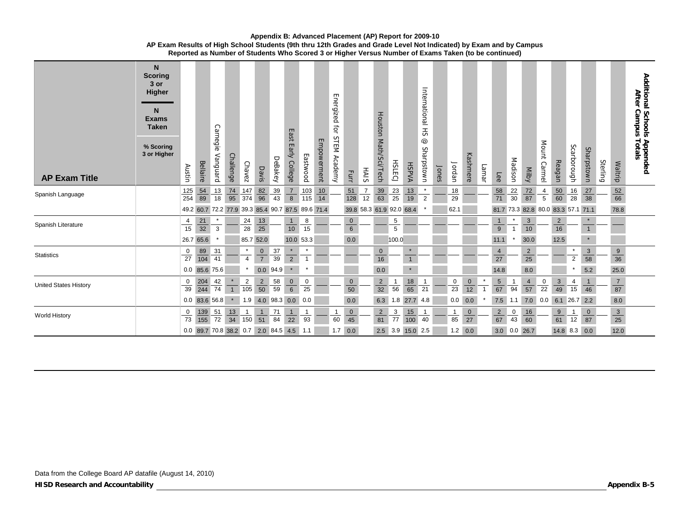|                              | N<br><b>Scoring</b><br>3 or<br>Higher<br>N<br><b>Exams</b><br><b>Taken</b> |                       |                                                                            |                       |                       |                         |                                       |                  | East                                 |                      |                         | Energized<br>ğ      |                                        |                |                             |                                   |                                      | International HS |       |                         |                           |       |                                                             |                 |                             |                             |                                        |                     |                                           |          |                           | Additional Schools<br>After<br>Campus |
|------------------------------|----------------------------------------------------------------------------|-----------------------|----------------------------------------------------------------------------|-----------------------|-----------------------|-------------------------|---------------------------------------|------------------|--------------------------------------|----------------------|-------------------------|---------------------|----------------------------------------|----------------|-----------------------------|-----------------------------------|--------------------------------------|------------------|-------|-------------------------|---------------------------|-------|-------------------------------------------------------------|-----------------|-----------------------------|-----------------------------|----------------------------------------|---------------------|-------------------------------------------|----------|---------------------------|---------------------------------------|
| <b>AP Exam Title</b>         | % Scoring<br>3 or Higher                                                   | Austin                | <b>Bellaire</b>                                                            | Carnegie<br>Vanguard  | Challenge             | Chavez                  | Davis                                 | <b>DeBakey</b>   | Early<br><b>College</b>              | Eastwood             | Empowerment             | S<br>TEM<br>Academy | Furr                                   | <b>HAIS</b>    | Houston Math/Sci/Tech       | <b>HSLECJ</b>                     | <b>HSPVA</b>                         | ම<br>Sharpstown  | Jones | Jordan                  | Kashmere                  | Lamar | Lee                                                         | Madison         | <b>Nillby</b>               | Mount<br>Carmel             | Reagan                                 | Scarborough         | Sharpstown                                | Sterling | Waltrip                   | Appended<br>Totals                    |
| Spanish Language             |                                                                            | 125<br>254            | 54<br>$\overline{89}$<br>49.2 60.7 72.2 77.9 39.3 85.4 90.7 87.5 89.6 71.4 | $\frac{13}{18}$       | 74<br>$\overline{95}$ | 147<br>$\overline{374}$ | 82<br>$\overline{96}$                 | 39<br>43         | $\overline{7}$<br>$\overline{8}$     | $\frac{103}{115}$    | $10$<br>$\overline{14}$ |                     | 51<br>128                              | $\frac{7}{12}$ | $\frac{39}{63}$             | $\frac{23}{25}$                   | 13<br>19<br>39.8 58.3 61.9 92.0 68.4 | $\overline{2}$   |       | 18<br>29<br>62.1        |                           |       | 58<br>$\overline{71}$<br>81.7 73.3 82.8 80.0 83.3 57.1 71.1 | $\frac{22}{30}$ | $\frac{72}{87}$             | $\frac{4}{5}$               | $\frac{50}{60}$                        | $\frac{16}{28}$     | 27<br>$\overline{38}$                     |          | $\frac{52}{66}$<br>78.8   |                                       |
| Spanish Literature           |                                                                            | 4<br>$\overline{15}$  | 21<br>$\overline{32}$<br>26.7 65.6                                         | 3                     |                       | 24<br>28                | 13<br>25<br>85.7 52.0                 |                  | $\mathbf{1}$<br>10 <sup>°</sup>      | 8<br>15<br>10.0 53.3 |                         |                     | $\mathbf 0$<br>$6\phantom{1}$<br>0.0   |                |                             | 5<br>5<br>100.0                   |                                      |                  |       |                         |                           |       | 9<br>11.1                                                   | $\overline{1}$  | 3<br>10<br>30.0             |                             | $\overline{2}$<br>16<br>12.5           |                     | $\pmb{\ast}$<br>$\overline{1}$<br>$\star$ |          |                           |                                       |
| <b>Statistics</b>            |                                                                            | $\frac{0}{27}$<br>0.0 | 89<br>104<br>85.6 75.6                                                     | 31<br>41              |                       | $\overline{4}$          | $\mathbf{0}$<br>$\overline{7}$<br>0.0 | 37<br>39<br>94.9 | $\star$<br>$\overline{2}$<br>$\star$ | $\overline{1}$       |                         |                     |                                        |                | $\mathbf{0}$<br>16<br>0.0   |                                   | $\star$<br>$\mathbf{1}$<br>$\star$   |                  |       |                         |                           |       | $\overline{4}$<br>27<br>14.8                                |                 | $\overline{2}$<br>25<br>8.0 |                             |                                        | $\overline{2}$      | $\mathbf{3}$<br>58<br>5.2                 |          | $\frac{9}{36}$<br>25.0    |                                       |
| <b>United States History</b> |                                                                            | $\frac{0}{39}$<br>0.0 | 204<br>244<br>83.6 56.8                                                    | 42<br>74              | $\overline{1}$        | 2<br>105<br>1.9         | $\overline{2}$<br>50<br>4.0 98.3 0.0  | 58<br>59         | $\mathbf{0}$<br>$\,6\,$              | 0<br>25<br>0.0       |                         |                     | $\mathbf{0}$<br>50<br>0.0              |                | $\overline{2}$<br>32<br>6.3 | $\overline{1}$<br>56<br>1.8       | 18<br>65<br>27.7 4.8                 | -1<br>21         |       | 0<br>23<br>0.0          | $\mathbf{0}$<br>12<br>0.0 |       | 5 <sup>5</sup><br>67<br>7.5                                 | 94<br>1.1       | 4<br>$\overline{57}$<br>7.0 | 0<br>$\overline{22}$<br>0.0 | $\frac{3}{49}$<br>6.1                  | 4<br>15<br>26.7 2.2 | 1<br>46                                   |          | $\frac{7}{87}$<br>$8.0\,$ |                                       |
| World History                |                                                                            | $\frac{0}{73}$        | 139<br>$\frac{1}{155}$<br>0.0 89.7 70.8 38.2 0.7 2.0 84.5 4.5 1.1          | 51<br>$\overline{72}$ | 13<br>34              | 150                     | $\mathbf{1}$<br>51                    | 71<br>84         | $\mathbf{1}$<br>22                   | -1<br>93             |                         | -1<br>60<br>1.7     | $\mathbf{0}$<br>$\overline{45}$<br>0.0 |                | $\overline{2}$<br>81        | 3<br>$\overline{77}$<br>$2.5$ 3.9 | 15<br>$\frac{1}{100}$<br>$15.0$ 2.5  | -1<br>40         |       | -1<br>85<br>$1.2 \ 0.0$ | $\mathbf 0$<br>27         |       | $\overline{a}$<br>67<br>3.0 0.0 26.7                        | 0<br>43         | 16<br>60                    |                             | $\boldsymbol{9}$<br>61<br>14.8 8.3 0.0 | 12                  | $\mathbf{0}$<br>$\overline{87}$           |          | $\frac{3}{25}$<br>12.0    |                                       |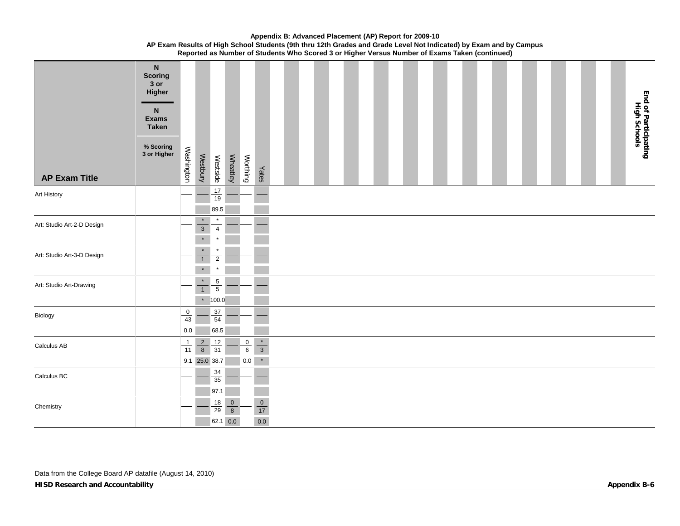|                            | $\,$ N $\,$<br><b>Scoring</b><br>3 or<br>Higher<br>N<br><b>Exams</b><br><b>Taken</b> |                              |                                    |                                                |                          |                                          |                                                |  |  |  |  |  |  |  |  |  |  |  | End of Participating<br>High Schools |
|----------------------------|--------------------------------------------------------------------------------------|------------------------------|------------------------------------|------------------------------------------------|--------------------------|------------------------------------------|------------------------------------------------|--|--|--|--|--|--|--|--|--|--|--|--------------------------------------|
| <b>AP Exam Title</b>       | % Scoring<br>3 or Higher                                                             | Washington                   | Westbury                           | Westside                                       | Wheatley                 | Worthing                                 | Yates                                          |  |  |  |  |  |  |  |  |  |  |  |                                      |
| Art History                |                                                                                      |                              |                                    | 17<br>$\overline{19}$<br>89.5                  |                          |                                          |                                                |  |  |  |  |  |  |  |  |  |  |  |                                      |
| Art: Studio Art-2-D Design |                                                                                      |                              | $\star$<br>$\mathbf{3}$<br>$\star$ | $\star$<br>$\overline{4}$<br>$\star$           |                          |                                          |                                                |  |  |  |  |  |  |  |  |  |  |  |                                      |
| Art: Studio Art-3-D Design |                                                                                      |                              | $\star$<br>$\mathbf{1}$<br>$\star$ | $\pmb{\ast}$<br>$\overline{2}$<br>$\pmb{\ast}$ |                          |                                          |                                                |  |  |  |  |  |  |  |  |  |  |  |                                      |
| Art: Studio Art-Drawing    |                                                                                      |                              | $\star$<br>$\mathbf{1}$            | $\frac{5}{5}$<br>* $100.0$                     |                          |                                          |                                                |  |  |  |  |  |  |  |  |  |  |  |                                      |
| Biology                    |                                                                                      | $\mathbf 0$<br>43<br>$0.0\,$ |                                    | 37<br>54<br>68.5                               |                          |                                          |                                                |  |  |  |  |  |  |  |  |  |  |  |                                      |
| Calculus AB                |                                                                                      | $\frac{1}{11}$               | $\overline{2}$<br>$\overline{8}$   | $\frac{12}{31}$<br>9.1 25.0 38.7               |                          | $\overline{0}$<br>$6\overline{6}$<br>0.0 | $\frac{1}{3}$<br>$^\star$                      |  |  |  |  |  |  |  |  |  |  |  |                                      |
| Calculus BC                |                                                                                      |                              |                                    | 34<br>$\overline{35}$<br>97.1                  |                          |                                          |                                                |  |  |  |  |  |  |  |  |  |  |  |                                      |
| Chemistry                  |                                                                                      |                              |                                    | 18<br>29<br>62.1 0.0                           | $\overline{0}$<br>$\bf8$ |                                          | $\mathbf 0$<br>$\overline{\mathbf{17}}$<br>0.0 |  |  |  |  |  |  |  |  |  |  |  |                                      |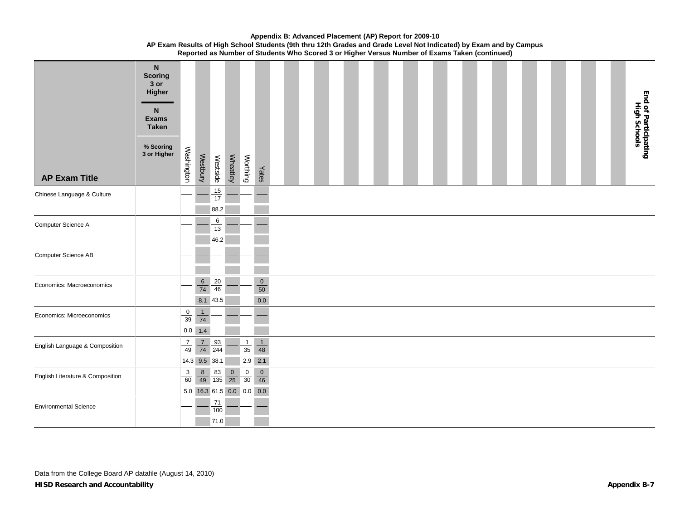|                                  | $\mathsf{N}$<br><b>Scoring</b><br>$3$ or<br>Higher<br>N<br><b>Exams</b><br><b>Taken</b> |                      |                                                                      |                      |                                                |                                                |                                     |  |  |  |  |  |  |  |  |  |  |  | End of Participating<br>High Schools |
|----------------------------------|-----------------------------------------------------------------------------------------|----------------------|----------------------------------------------------------------------|----------------------|------------------------------------------------|------------------------------------------------|-------------------------------------|--|--|--|--|--|--|--|--|--|--|--|--------------------------------------|
| <b>AP Exam Title</b>             | % Scoring<br>3 or Higher                                                                | Washington           | Westbury                                                             | Westside             | Wheatley                                       | Worthing                                       | Yates                               |  |  |  |  |  |  |  |  |  |  |  |                                      |
| Chinese Language & Culture       |                                                                                         |                      |                                                                      | 15<br>17<br>88.2     |                                                |                                                |                                     |  |  |  |  |  |  |  |  |  |  |  |                                      |
| Computer Science A               |                                                                                         |                      |                                                                      | 6<br>13<br>46.2      |                                                |                                                |                                     |  |  |  |  |  |  |  |  |  |  |  |                                      |
| Computer Science AB              |                                                                                         |                      |                                                                      |                      |                                                |                                                |                                     |  |  |  |  |  |  |  |  |  |  |  |                                      |
| Economics: Macroeconomics        |                                                                                         |                      | $\,$ 6 $\,$<br>$74\,$                                                | 20<br>46<br>8.1 43.5 |                                                |                                                | $\overline{0}$<br>$50\,$<br>$0.0\,$ |  |  |  |  |  |  |  |  |  |  |  |                                      |
| Economics: Microeconomics        |                                                                                         | $\mathbf 0$<br>39    | $\overline{1}$<br>74<br>$0.0$ 1.4                                    |                      |                                                |                                                |                                     |  |  |  |  |  |  |  |  |  |  |  |                                      |
| English Language & Composition   |                                                                                         | $\overline{7}$       | $\overline{7}$<br>$\frac{1}{49}$ $\frac{1}{74}$ 244<br>14.3 9.5 38.1 | 93                   |                                                | $\overline{1}$<br>$\overline{35}$<br>$2.9$ 2.1 | $\overline{1}$<br>$\overline{48}$   |  |  |  |  |  |  |  |  |  |  |  |                                      |
| English Literature & Composition |                                                                                         | $\overline{3}$<br>60 | 5.0 16.3 61.5 0.0 0.0 0.0                                            |                      | $\frac{8}{49}$ $\frac{83}{135}$ $\frac{0}{25}$ | $\overline{0}$<br>$\overline{30}$              | $\overline{0}$<br>46                |  |  |  |  |  |  |  |  |  |  |  |                                      |
| <b>Environmental Science</b>     |                                                                                         |                      |                                                                      | 71<br>100<br>71.0    |                                                |                                                |                                     |  |  |  |  |  |  |  |  |  |  |  |                                      |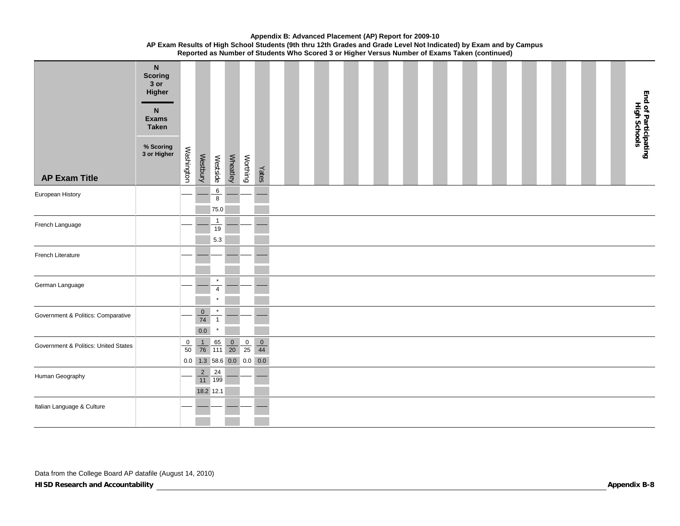|                                      | N<br><b>Scoring</b><br>3 or<br>Higher<br>N<br><b>Exams</b><br><b>Taken</b> |            |                                                                                             |                                                  |          |                |                                |  |  |  |  |  |  |  |  |  |  |  | End of Participating<br>High Schools |
|--------------------------------------|----------------------------------------------------------------------------|------------|---------------------------------------------------------------------------------------------|--------------------------------------------------|----------|----------------|--------------------------------|--|--|--|--|--|--|--|--|--|--|--|--------------------------------------|
| <b>AP Exam Title</b>                 | % Scoring<br>3 or Higher                                                   | Washington | Westbury                                                                                    | Westside                                         | Wheatley | Worthing       | Yates                          |  |  |  |  |  |  |  |  |  |  |  |                                      |
| European History                     |                                                                            |            |                                                                                             | $\,6\,$<br>$\overline{8}$<br>75.0                |          |                |                                |  |  |  |  |  |  |  |  |  |  |  |                                      |
| French Language                      |                                                                            |            |                                                                                             | $\mathbf{1}$<br>19<br>5.3                        |          |                |                                |  |  |  |  |  |  |  |  |  |  |  |                                      |
| French Literature                    |                                                                            |            |                                                                                             |                                                  |          |                |                                |  |  |  |  |  |  |  |  |  |  |  |                                      |
| German Language                      |                                                                            |            |                                                                                             | $\star$<br>$\overline{4}$<br>$\star$             |          |                |                                |  |  |  |  |  |  |  |  |  |  |  |                                      |
| Government & Politics: Comparative   |                                                                            |            | $\overline{0}$<br>74<br>0.0                                                                 | $\pmb{\ast}$<br>$\mathbf{1}$<br>$\star$          |          |                |                                |  |  |  |  |  |  |  |  |  |  |  |                                      |
| Government & Politics: United States |                                                                            |            | $\frac{0}{50}$ $\frac{1}{76}$ $\frac{65}{111}$ $\frac{0}{20}$<br>$0.0$ 1.3 58.6 0.0 0.0 0.0 |                                                  |          | $\frac{0}{25}$ | $\overline{\phantom{0}}$<br>44 |  |  |  |  |  |  |  |  |  |  |  |                                      |
| Human Geography                      |                                                                            |            | 18.2 12.1                                                                                   | $2 \quad 24$<br>$\overline{11}$ $\overline{199}$ |          |                |                                |  |  |  |  |  |  |  |  |  |  |  |                                      |
| Italian Language & Culture           |                                                                            |            |                                                                                             |                                                  |          |                |                                |  |  |  |  |  |  |  |  |  |  |  |                                      |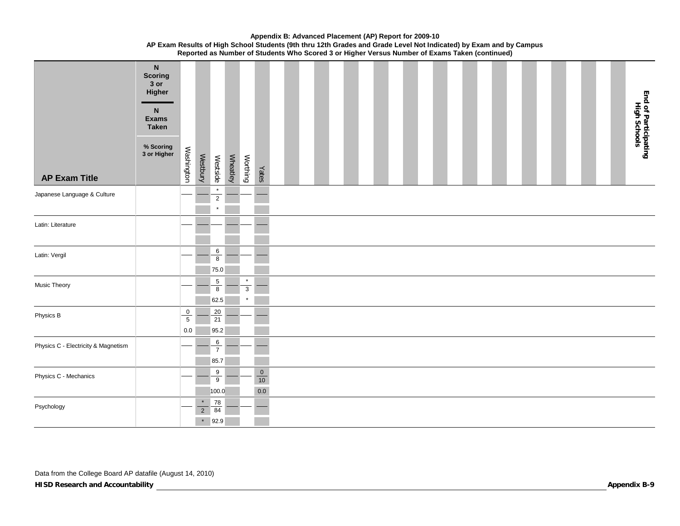|                                     | $\,$ N<br><b>Scoring</b><br>3 or<br>Higher<br>N<br><b>Exams</b><br><b>Taken</b> |                                             |                                      |                                               |          |                                      |                                 |  |  |  |  |  |  |  |  |  |  |  | End of Participating<br>High Schools |
|-------------------------------------|---------------------------------------------------------------------------------|---------------------------------------------|--------------------------------------|-----------------------------------------------|----------|--------------------------------------|---------------------------------|--|--|--|--|--|--|--|--|--|--|--|--------------------------------------|
| <b>AP Exam Title</b>                | % Scoring<br>3 or Higher                                                        | Washington                                  | Westbury                             | Westside                                      | Wheatley | Worthing                             | Yates                           |  |  |  |  |  |  |  |  |  |  |  |                                      |
| Japanese Language & Culture         |                                                                                 |                                             |                                      | $\pmb{\ast}$<br>$\overline{2}$<br>$\star$     |          |                                      |                                 |  |  |  |  |  |  |  |  |  |  |  |                                      |
| Latin: Literature                   |                                                                                 |                                             |                                      |                                               |          |                                      |                                 |  |  |  |  |  |  |  |  |  |  |  |                                      |
| Latin: Vergil                       |                                                                                 |                                             |                                      | $\begin{array}{c} 6 \\ 8 \end{array}$<br>75.0 |          |                                      |                                 |  |  |  |  |  |  |  |  |  |  |  |                                      |
| Music Theory                        |                                                                                 |                                             |                                      | $\frac{5}{8}$<br>62.5                         |          | $\star$<br>$\overline{3}$<br>$\star$ |                                 |  |  |  |  |  |  |  |  |  |  |  |                                      |
| Physics B                           |                                                                                 | $\overline{0}$<br>$\overline{5}$<br>$0.0\,$ |                                      | 20<br>21<br>95.2                              |          |                                      |                                 |  |  |  |  |  |  |  |  |  |  |  |                                      |
| Physics C - Electricity & Magnetism |                                                                                 |                                             |                                      | $6\phantom{.}6$<br>$\overline{7}$<br>85.7     |          |                                      |                                 |  |  |  |  |  |  |  |  |  |  |  |                                      |
| Physics C - Mechanics               |                                                                                 |                                             |                                      | $\overline{9}$<br>9<br>100.0                  |          |                                      | $\overline{0}$<br>10<br>$0.0\,$ |  |  |  |  |  |  |  |  |  |  |  |                                      |
| Psychology                          |                                                                                 |                                             | $\star$<br>$\overline{2}$<br>$\star$ | 78<br>84<br>92.9                              |          |                                      |                                 |  |  |  |  |  |  |  |  |  |  |  |                                      |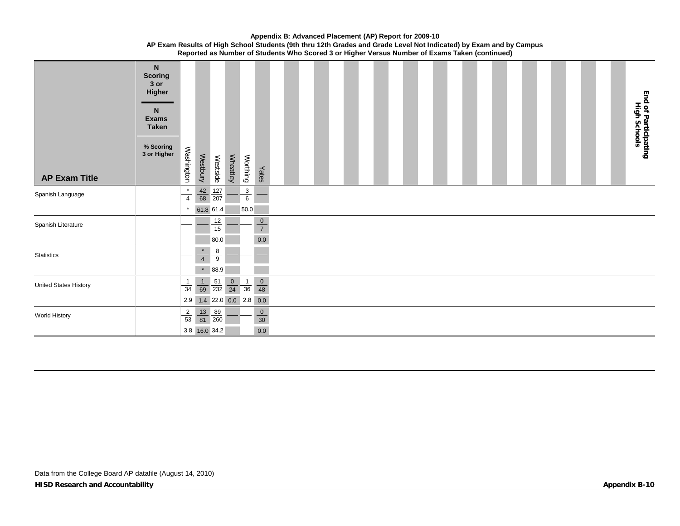|                       | N<br><b>Scoring</b><br>$3$ or<br>Higher<br>N<br><b>Exams</b><br><b>Taken</b> |                                           |                                      |                                                |          |                                         |                          |  |  |  |  |  |  |  |  |  |  |  | End of Participating<br>High Schools |
|-----------------------|------------------------------------------------------------------------------|-------------------------------------------|--------------------------------------|------------------------------------------------|----------|-----------------------------------------|--------------------------|--|--|--|--|--|--|--|--|--|--|--|--------------------------------------|
| <b>AP Exam Title</b>  | % Scoring<br>3 or Higher                                                     | Washington                                | Westbury                             | Westside                                       | Wheatley | Worthing                                | Yates                    |  |  |  |  |  |  |  |  |  |  |  |                                      |
| Spanish Language      |                                                                              | $\pmb{\ast}$<br>$\overline{4}$<br>$\star$ | 42<br>61.8 61.4                      | 127<br>$\frac{1}{68}$ 207                      |          | $\mathbf{3}$<br>$6\overline{6}$<br>50.0 |                          |  |  |  |  |  |  |  |  |  |  |  |                                      |
| Spanish Literature    |                                                                              |                                           |                                      | $\frac{12}{15}$<br>80.0                        |          |                                         | $\frac{0}{7}$<br>$0.0\,$ |  |  |  |  |  |  |  |  |  |  |  |                                      |
| <b>Statistics</b>     |                                                                              |                                           | $\star$<br>$\overline{4}$<br>$\star$ | 8<br>9<br>88.9                                 |          |                                         |                          |  |  |  |  |  |  |  |  |  |  |  |                                      |
| United States History |                                                                              | $\overline{1}$<br>$\overline{34}$<br>2.9  | 1.4 22.0 0.0 2.8 0.0                 | $\frac{1}{69}$ $\frac{51}{232}$ $\frac{0}{24}$ |          | $\overline{1}$<br>36                    | $\frac{0}{48}$           |  |  |  |  |  |  |  |  |  |  |  |                                      |
| World History         |                                                                              | $\frac{2}{53}$                            | 3.8 16.0 34.2                        | $\frac{13}{81}$ $\frac{89}{260}$               |          |                                         | $\frac{0}{30}$<br>0.0    |  |  |  |  |  |  |  |  |  |  |  |                                      |